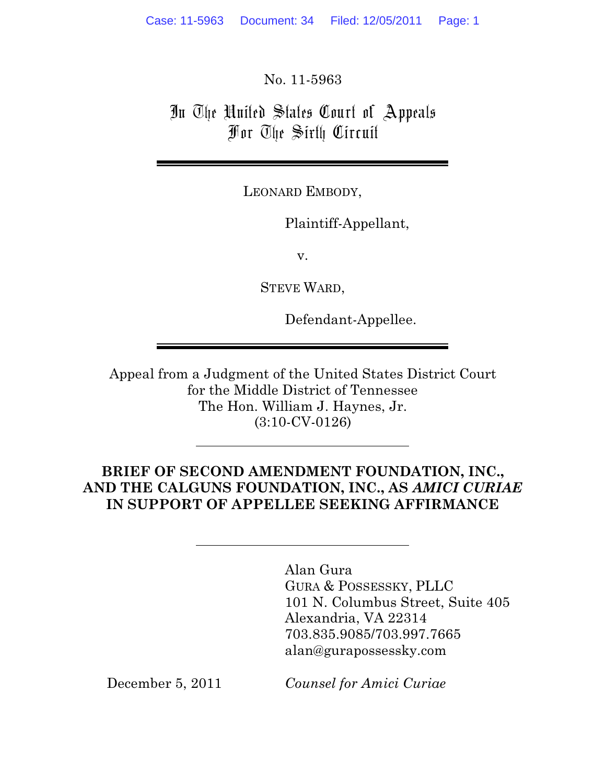No. 11-5963

# In The United States Court of Appeals For The Sixth Circuit

LEONARD EMBODY,

Plaintiff-Appellant,

v.

STEVE WARD,

Defendant-Appellee.

Appeal from a Judgment of the United States District Court for the Middle District of Tennessee The Hon. William J. Haynes, Jr. (3:10-CV-0126)

## **BRIEF OF SECOND AMENDMENT FOUNDATION, INC., AND THE CALGUNS FOUNDATION, INC., AS AMICI CURIAE AND THE CALGUNS FOUNDATION, INC., AS** *AMICI CURIAE* **IN SUPPORT OF APPELLEE SEEKING AFFIRMANCE**

Alan Gura GURA & POSSESSKY, PLLC 101 N. Columbus Street, Suite 405 Alexandria, VA 22314 703.835.9085/703.997.7665 alan@gurapossessky.com

December 5, 2011 *Counsel for Amici Curiae*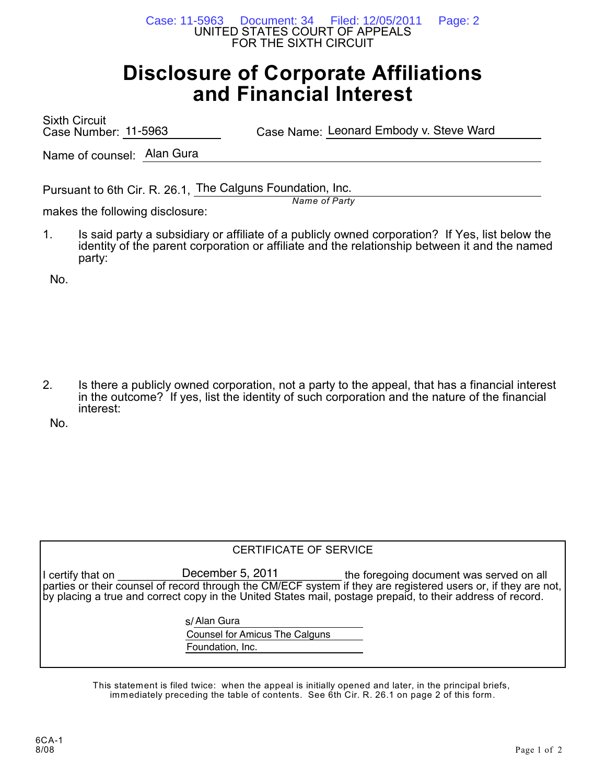UNITED STATES COURT OF APPEALS FOR THE SIXTH CIRCUIT Case: 11-5963 Document: 34 Filed: 12/05/2011 Page: 2

# **Disclosure of Corporate Affiliations and Financial Interest**

Sixth Circuit Case Number: 11-5963

Case Name: Leonard Embody v. Steve Ward

Name of counsel: Alan Gura

Pursuant to 6th Cir. R. 26.1, The Calguns Foundation, Inc.

makes the following disclosure:

1. Is said party a subsidiary or affiliate of a publicly owned corporation? If Yes, list below the identity of the parent corporation or affiliate and the relationship between it and the named party:

*Name of Party*

No.

2. Is there a publicly owned corporation, not a party to the appeal, that has a financial interest in the outcome? If yes, list the identity of such corporation and the nature of the financial interest:

No.

#### CERTIFICATE OF SERVICE

I certify that on \_\_\_\_\_\_\_\_\_\_\_\_\_December 5, 2011 \_\_\_\_\_\_\_\_\_\_\_\_\_the foregoing document was served on all parties or their counsel of record through the CM/ECF system if they are registered users or, if they are not, by placing a true and correct copy in the United States mail, postage prepaid, to their address of record. December 5, 2011

s/ Alan Gura

Counsel for Amicus The Calguns Foundation, Inc.

This statement is filed twice: when the appeal is initially opened and later, in the principal briefs, immediately preceding the table of contents. See 6th Cir. R. 26.1 on page 2 of this form.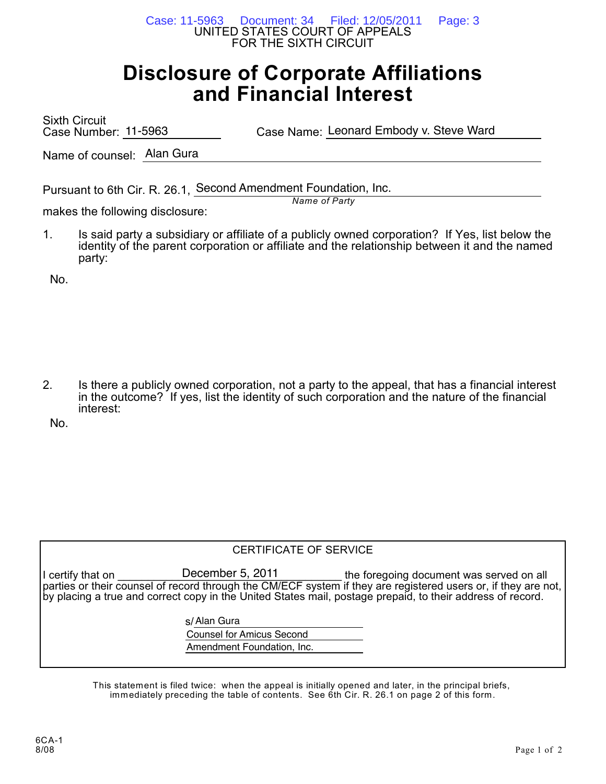UNITED STATES COURT OF APPEALS FOR THE SIXTH CIRCUIT Case: 11-5963 Document: 34 Filed: 12/05/2011 Page: 3

# **Disclosure of Corporate Affiliations and Financial Interest**

Sixth Circuit Case Number: 11-5963

Case Name: Leonard Embody v. Steve Ward

Name of counsel: Alan Gura

Pursuant to 6th Cir. R. 26.1, Second Amendment Foundation, Inc.

makes the following disclosure:

1. Is said party a subsidiary or affiliate of a publicly owned corporation? If Yes, list below the identity of the parent corporation or affiliate and the relationship between it and the named party:

*Name of Party*

No.

2. Is there a publicly owned corporation, not a party to the appeal, that has a financial interest in the outcome? If yes, list the identity of such corporation and the nature of the financial interest:

No.

|                   | CERTIFICATE OF SERVICE           |                                                                                                                                                                                                                                                                          |
|-------------------|----------------------------------|--------------------------------------------------------------------------------------------------------------------------------------------------------------------------------------------------------------------------------------------------------------------------|
| I certify that on | December 5, 2011                 | the foregoing document was served on all<br>parties or their counsel of record through the CM/ECF system if they are registered users or, if they are not,<br>by placing a true and correct copy in the United States mail, postage prepaid, to their address of record. |
|                   | s/Alan Gura                      |                                                                                                                                                                                                                                                                          |
|                   | <b>Counsel for Amicus Second</b> |                                                                                                                                                                                                                                                                          |
|                   | Amendment Foundation, Inc.       |                                                                                                                                                                                                                                                                          |

This statement is filed twice: when the appeal is initially opened and later, in the principal briefs, immediately preceding the table of contents. See 6th Cir. R. 26.1 on page 2 of this form.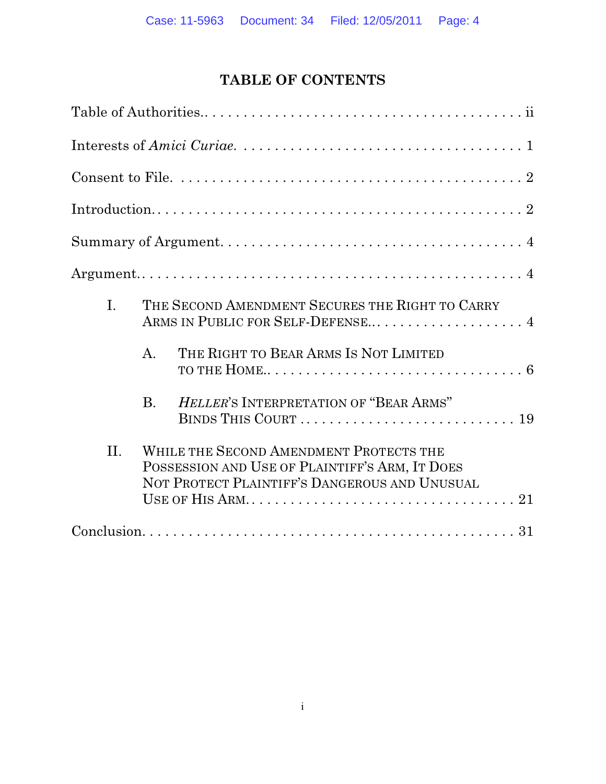# **TABLE OF CONTENTS**

| I.  | THE SECOND AMENDMENT SECURES THE RIGHT TO CARRY<br>ARMS IN PUBLIC FOR SELF-DEFENSE 4                                                       |
|-----|--------------------------------------------------------------------------------------------------------------------------------------------|
|     | THE RIGHT TO BEAR ARMS IS NOT LIMITED<br>$\mathsf{A}$ .                                                                                    |
|     | HELLER'S INTERPRETATION OF "BEAR ARMS"<br><b>B.</b>                                                                                        |
| II. | WHILE THE SECOND AMENDMENT PROTECTS THE<br>POSSESSION AND USE OF PLAINTIFF'S ARM, IT DOES<br>NOT PROTECT PLAINTIFF'S DANGEROUS AND UNUSUAL |
|     |                                                                                                                                            |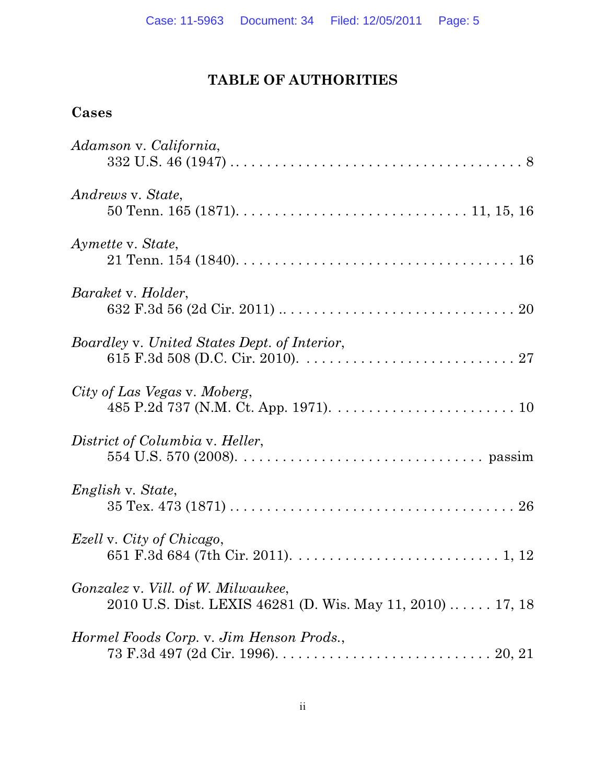## **TABLE OF AUTHORITIES**

### **Cases**

| Adamson v. California,                                                                                                         |
|--------------------------------------------------------------------------------------------------------------------------------|
| Andrews v. State,<br>50 Tenn. 165 (1871). $\dots \dots \dots \dots \dots \dots \dots \dots \dots \dots \dots \dots 11, 15, 16$ |
| Aymette v. State,                                                                                                              |
| Baraket v. Holder,                                                                                                             |
| Boardley v. United States Dept. of Interior,                                                                                   |
| City of Las Vegas v. Moberg,                                                                                                   |
| District of Columbia v. Heller,                                                                                                |
| English v. State,                                                                                                              |
| <i>Ezell</i> v. City of Chicago,                                                                                               |
| Gonzalez v. Vill. of W. Milwaukee,<br>2010 U.S. Dist. LEXIS 46281 (D. Wis. May 11, 2010)  17, 18                               |
| Hormel Foods Corp. v. Jim Henson Prods.,                                                                                       |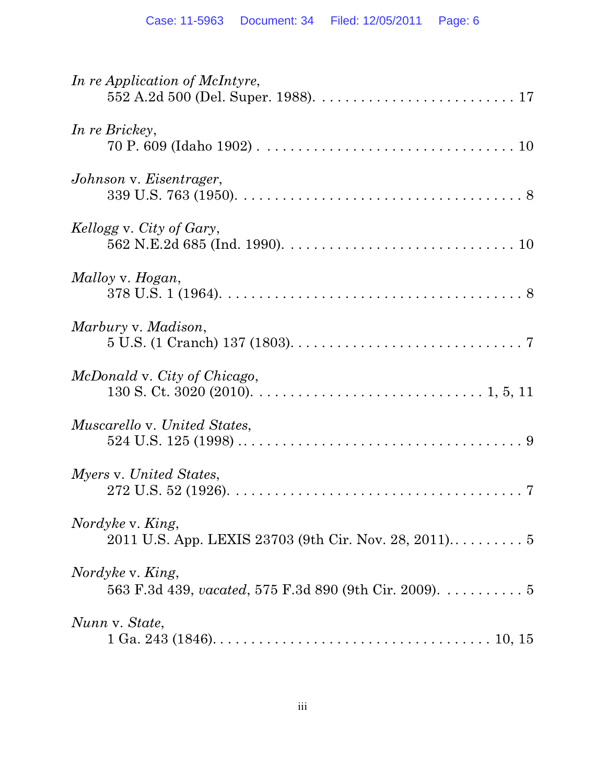| In re Application of McIntyre,                                             |
|----------------------------------------------------------------------------|
| In re Brickey,                                                             |
| Johnson v. Eisentrager,                                                    |
| Kellogg v. City of Gary,                                                   |
| Malloy v. Hogan,                                                           |
| Marbury v. Madison,                                                        |
| McDonald v. City of Chicago,                                               |
| <i>Muscarello v. United States,</i>                                        |
| Myers v. United States,                                                    |
| Nordyke v. King,<br>2011 U.S. App. LEXIS 23703 (9th Cir. Nov. 28, 2011) 5  |
| Nordyke v. King,<br>563 F.3d 439, vacated, 575 F.3d 890 (9th Cir. 2009). 5 |
| Nunn v. State,                                                             |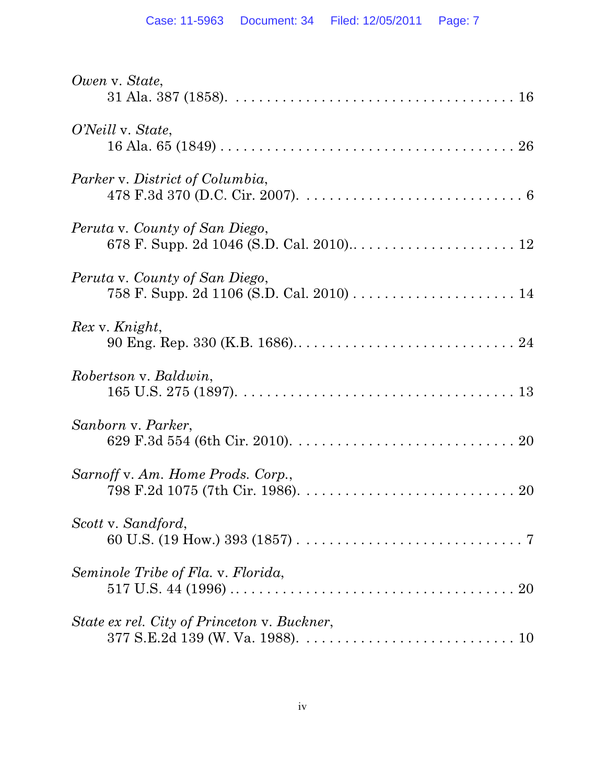| Owen v. State,                                                                                                                                           |
|----------------------------------------------------------------------------------------------------------------------------------------------------------|
| O'Neill v. State,                                                                                                                                        |
| Parker v. District of Columbia,                                                                                                                          |
| Peruta v. County of San Diego,                                                                                                                           |
| Peruta v. County of San Diego,                                                                                                                           |
| Rex v. Knight,                                                                                                                                           |
| Robertson v. Baldwin,                                                                                                                                    |
| Sanborn v. Parker,                                                                                                                                       |
| Sarnoff v. Am. Home Prods. Corp.,                                                                                                                        |
| Scott v. Sandford,                                                                                                                                       |
| Seminole Tribe of Fla. v. Florida,<br>517 U.S. 44 (1996) $\ldots \ldots \ldots \ldots \ldots \ldots \ldots \ldots \ldots \ldots \ldots \ldots \ldots 20$ |
| State ex rel. City of Princeton v. Buckner,                                                                                                              |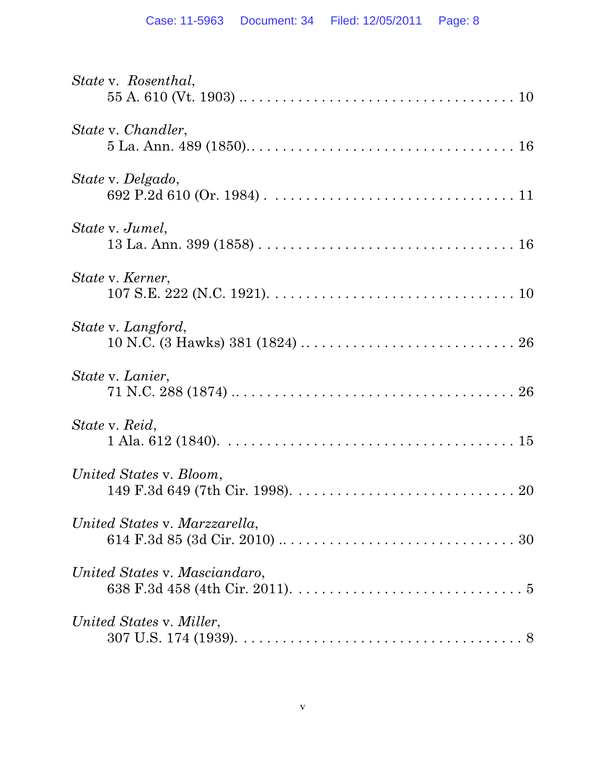| State v. Rosenthal,           |
|-------------------------------|
| State v. Chandler,            |
| State v. Delgado,             |
| State v. Jumel,               |
| State v. Kerner,              |
| State v. Langford,            |
| State v. Lanier,              |
| State v. Reid,                |
| United States v. Bloom,       |
| United States v. Marzzarella, |
| United States v. Masciandaro, |
| United States v. Miller,      |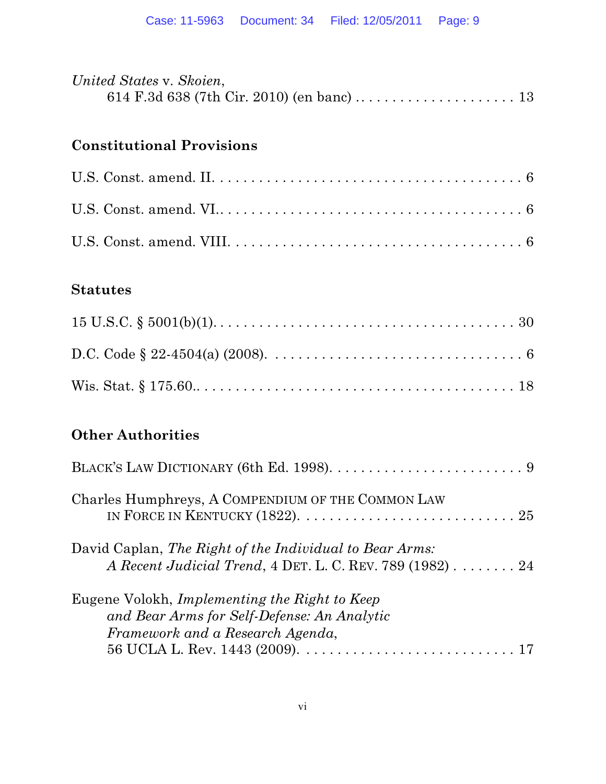| United States v. Skoien, |  |
|--------------------------|--|
|                          |  |

## **Constitutional Provisions**

### **Statutes**

# **Other Authorities**

| Charles Humphreys, A COMPENDIUM OF THE COMMON LAW                                                                                            |
|----------------------------------------------------------------------------------------------------------------------------------------------|
| David Caplan, The Right of the Individual to Bear Arms:<br>A Recent Judicial Trend, $4$ DET. L. C. REV. 789 (1982) $\ldots \ldots \ldots 24$ |
| Eugene Volokh, Implementing the Right to Keep<br>and Bear Arms for Self-Defense: An Analytic<br>Framework and a Research Agenda,             |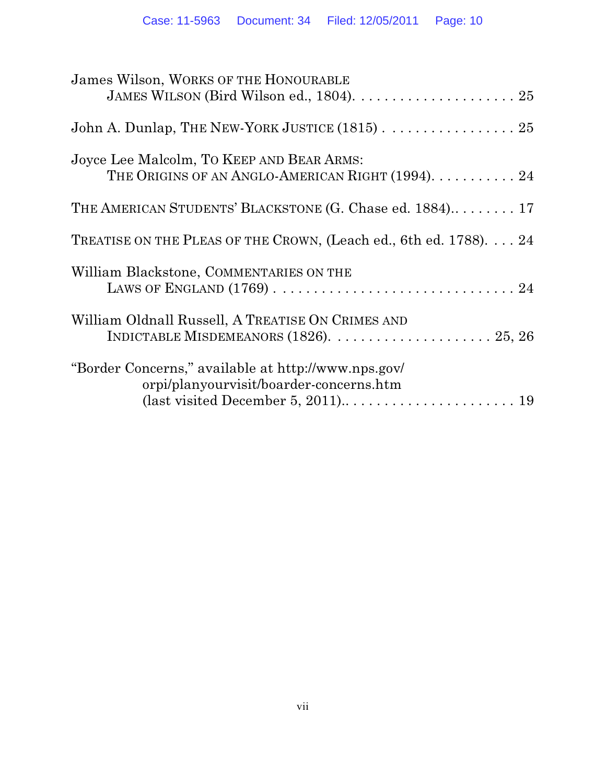| James Wilson, WORKS OF THE HONOURABLE                                                          |
|------------------------------------------------------------------------------------------------|
| John A. Dunlap, THE NEW-YORK JUSTICE $(1815)$ .  25                                            |
| Joyce Lee Malcolm, TO KEEP AND BEAR ARMS:<br>THE ORIGINS OF AN ANGLO-AMERICAN RIGHT (1994). 24 |
| THE AMERICAN STUDENTS' BLACKSTONE (G. Chase ed. 1884) 17                                       |
| TREATISE ON THE PLEAS OF THE CROWN, (Leach ed., 6th ed. 1788) 24                               |
| William Blackstone, COMMENTARIES ON THE                                                        |
| William Oldnall Russell, A TREATISE ON CRIMES AND                                              |
| "Border Concerns," available at http://www.nps.gov/<br>orpi/planyourvisit/boarder-concerns.htm |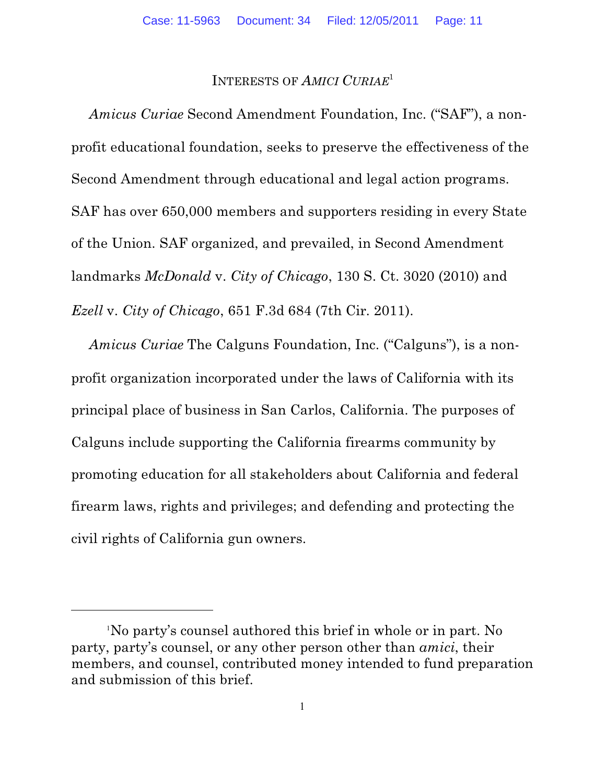#### INTERESTS OF *AMICI CURIAE*<sup>1</sup>

*Amicus Curiae* Second Amendment Foundation, Inc. ("SAF"), a nonprofit educational foundation, seeks to preserve the effectiveness of the Second Amendment through educational and legal action programs. SAF has over 650,000 members and supporters residing in every State of the Union. SAF organized, and prevailed, in Second Amendment landmarks *McDonald* v. *City of Chicago*, 130 S. Ct. 3020 (2010) and *Ezell* v. *City of Chicago*, 651 F.3d 684 (7th Cir. 2011).

*Amicus Curiae* The Calguns Foundation, Inc. ("Calguns"), is a nonprofit organization incorporated under the laws of California with its principal place of business in San Carlos, California. The purposes of Calguns include supporting the California firearms community by promoting education for all stakeholders about California and federal firearm laws, rights and privileges; and defending and protecting the civil rights of California gun owners.

No party's counsel authored this brief in whole or in part. No <sup>1</sup> party, party's counsel, or any other person other than *amici*, their members, and counsel, contributed money intended to fund preparation and submission of this brief.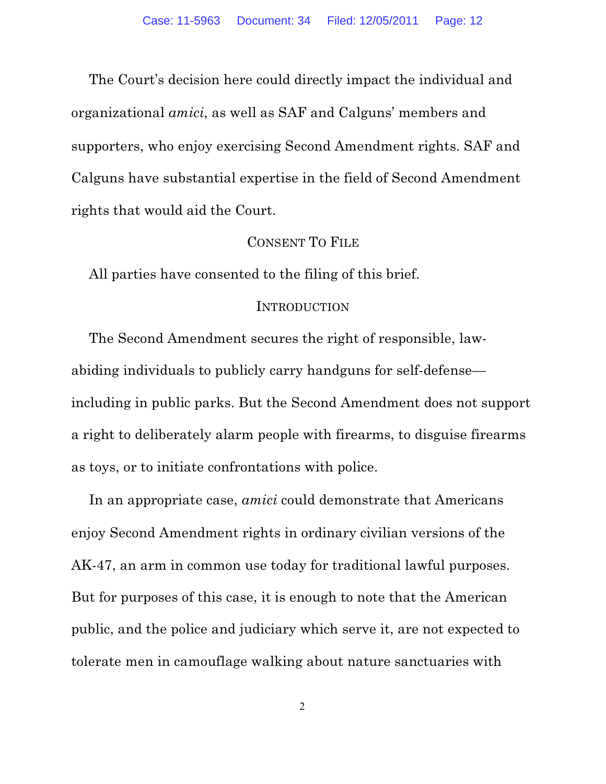The Court's decision here could directly impact the individual and organizational *amici*, as well as SAF and Calguns' members and supporters, who enjoy exercising Second Amendment rights. SAF and Calguns have substantial expertise in the field of Second Amendment rights that would aid the Court.

#### CONSENT TO FILE

All parties have consented to the filing of this brief.

#### INTRODUCTION

The Second Amendment secures the right of responsible, lawabiding individuals to publicly carry handguns for self-defense including in public parks. But the Second Amendment does not support a right to deliberately alarm people with firearms, to disguise firearms as toys, or to initiate confrontations with police.

In an appropriate case, *amici* could demonstrate that Americans enjoy Second Amendment rights in ordinary civilian versions of the AK-47, an arm in common use today for traditional lawful purposes. But for purposes of this case, it is enough to note that the American public, and the police and judiciary which serve it, are not expected to tolerate men in camouflage walking about nature sanctuaries with

2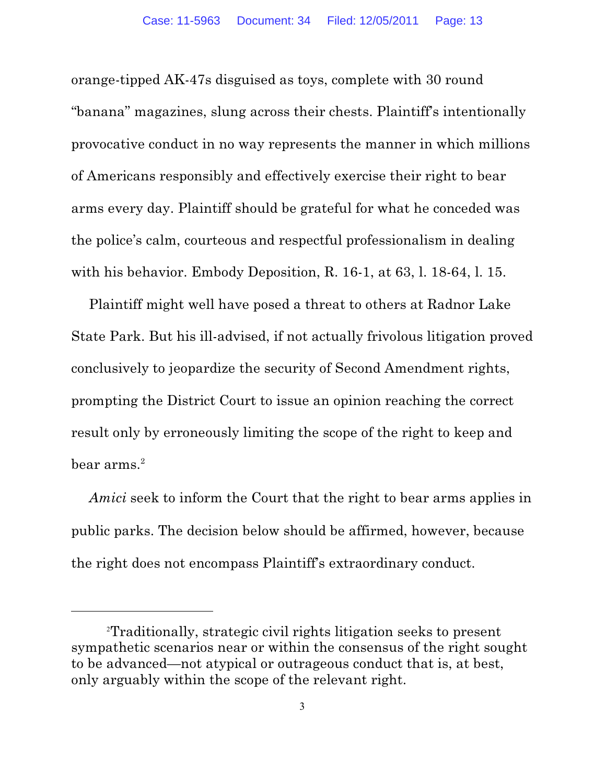orange-tipped AK-47s disguised as toys, complete with 30 round "banana" magazines, slung across their chests. Plaintiff's intentionally provocative conduct in no way represents the manner in which millions of Americans responsibly and effectively exercise their right to bear arms every day. Plaintiff should be grateful for what he conceded was the police's calm, courteous and respectful professionalism in dealing with his behavior. Embody Deposition, R. 16-1, at 63, l. 18-64, l. 15.

Plaintiff might well have posed a threat to others at Radnor Lake State Park. But his ill-advised, if not actually frivolous litigation proved conclusively to jeopardize the security of Second Amendment rights, prompting the District Court to issue an opinion reaching the correct result only by erroneously limiting the scope of the right to keep and  $\rm{beam}$  arms. $^{2}$ 

*Amici* seek to inform the Court that the right to bear arms applies in public parks. The decision below should be affirmed, however, because the right does not encompass Plaintiff's extraordinary conduct.

Traditionally, strategic civil rights litigation seeks to present <sup>2</sup> sympathetic scenarios near or within the consensus of the right sought to be advanced—not atypical or outrageous conduct that is, at best, only arguably within the scope of the relevant right.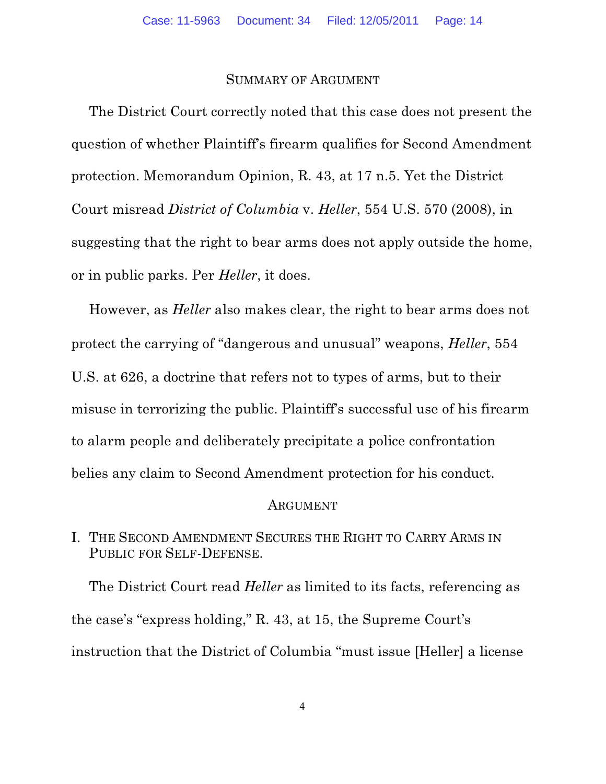#### SUMMARY OF ARGUMENT

The District Court correctly noted that this case does not present the question of whether Plaintiff's firearm qualifies for Second Amendment protection. Memorandum Opinion, R. 43, at 17 n.5. Yet the District Court misread *District of Columbia* v. *Heller*, 554 U.S. 570 (2008), in suggesting that the right to bear arms does not apply outside the home, or in public parks. Per *Heller*, it does.

However, as *Heller* also makes clear, the right to bear arms does not protect the carrying of "dangerous and unusual" weapons, *Heller*, 554 U.S. at 626, a doctrine that refers not to types of arms, but to their misuse in terrorizing the public. Plaintiff's successful use of his firearm to alarm people and deliberately precipitate a police confrontation belies any claim to Second Amendment protection for his conduct.

#### ARGUMENT

#### I. THE SECOND AMENDMENT SECURES THE RIGHT TO CARRY ARMS IN PUBLIC FOR SELF-DEFENSE.

The District Court read *Heller* as limited to its facts, referencing as the case's "express holding," R. 43, at 15, the Supreme Court's instruction that the District of Columbia "must issue [Heller] a license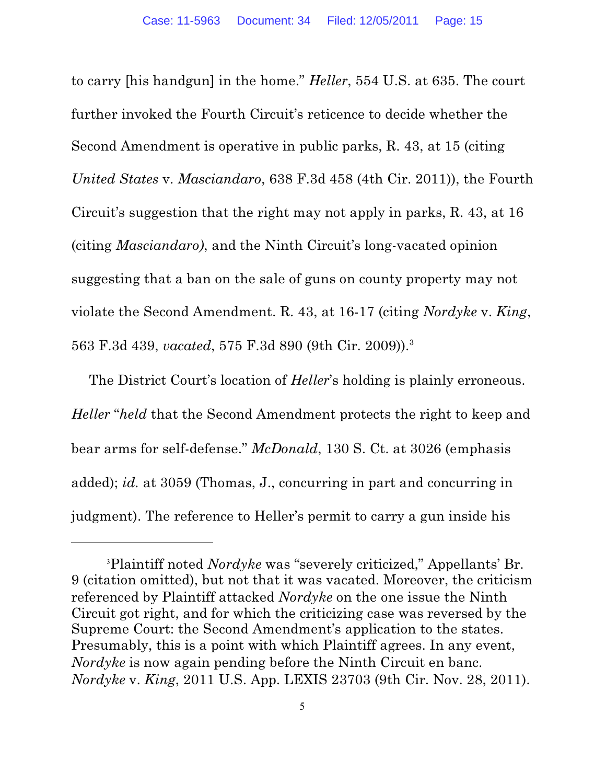to carry [his handgun] in the home." *Heller*, 554 U.S. at 635. The court further invoked the Fourth Circuit's reticence to decide whether the Second Amendment is operative in public parks, R. 43, at 15 (citing *United States* v. *Masciandaro*, 638 F.3d 458 (4th Cir. 2011)), the Fourth Circuit's suggestion that the right may not apply in parks, R. 43, at 16 (citing *Masciandaro)*, and the Ninth Circuit's long-vacated opinion suggesting that a ban on the sale of guns on county property may not violate the Second Amendment. R. 43, at 16-17 (citing *Nordyke* v. *King*, 563 F.3d 439, *vacated*, 575 F.3d 890 (9th Cir. 2009)).3

The District Court's location of *Heller*'s holding is plainly erroneous. *Heller* "*held* that the Second Amendment protects the right to keep and bear arms for self-defense." *McDonald*, 130 S. Ct. at 3026 (emphasis added); *id.* at 3059 (Thomas, J., concurring in part and concurring in judgment). The reference to Heller's permit to carry a gun inside his

<sup>&</sup>lt;sup>3</sup>Plaintiff noted *Nordyke* was "severely criticized," Appellants' Br. 9 (citation omitted), but not that it was vacated. Moreover, the criticism referenced by Plaintiff attacked *Nordyke* on the one issue the Ninth Circuit got right, and for which the criticizing case was reversed by the Supreme Court: the Second Amendment's application to the states. Presumably, this is a point with which Plaintiff agrees. In any event, *Nordyke* is now again pending before the Ninth Circuit en banc. *Nordyke* v. *King*, 2011 U.S. App. LEXIS 23703 (9th Cir. Nov. 28, 2011).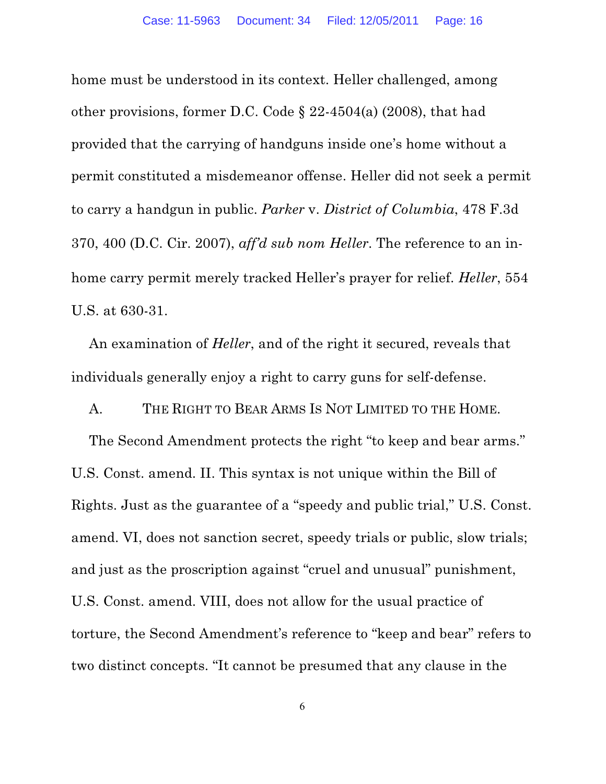home must be understood in its context. Heller challenged, among other provisions, former D.C. Code § 22-4504(a) (2008), that had provided that the carrying of handguns inside one's home without a permit constituted a misdemeanor offense. Heller did not seek a permit to carry a handgun in public. *Parker* v. *District of Columbia*, 478 F.3d 370, 400 (D.C. Cir. 2007), *aff'd sub nom Heller*. The reference to an inhome carry permit merely tracked Heller's prayer for relief. *Heller*, 554 U.S. at 630-31.

An examination of *Heller*, and of the right it secured, reveals that individuals generally enjoy a right to carry guns for self-defense.

A. THE RIGHT TO BEAR ARMS IS NOT LIMITED TO THE HOME.

The Second Amendment protects the right "to keep and bear arms." U.S. Const. amend. II. This syntax is not unique within the Bill of Rights. Just as the guarantee of a "speedy and public trial," U.S. Const. amend. VI, does not sanction secret, speedy trials or public, slow trials; and just as the proscription against "cruel and unusual" punishment, U.S. Const. amend. VIII, does not allow for the usual practice of torture, the Second Amendment's reference to "keep and bear" refers to two distinct concepts. "It cannot be presumed that any clause in the

6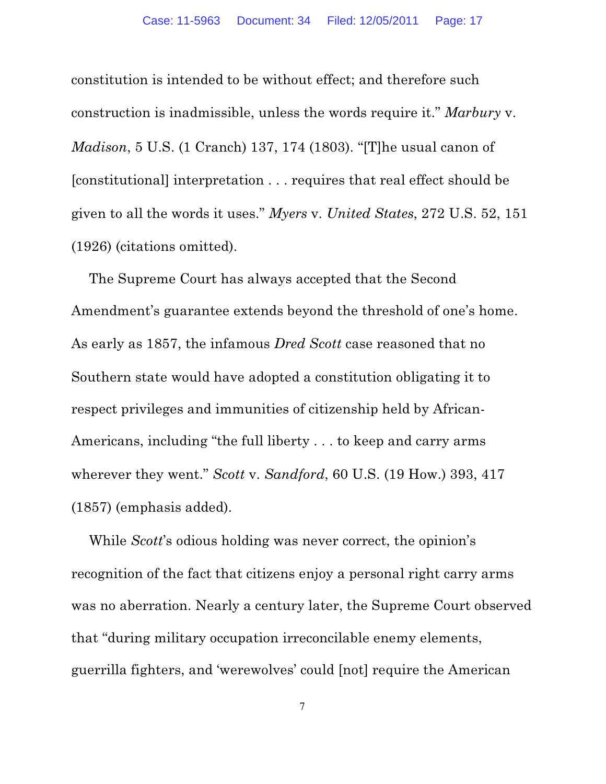constitution is intended to be without effect; and therefore such construction is inadmissible, unless the words require it." *Marbury* v. *Madison*, 5 U.S. (1 Cranch) 137, 174 (1803). "[T]he usual canon of [constitutional] interpretation . . . requires that real effect should be given to all the words it uses." *Myers* v. *United States*, 272 U.S. 52, 151 (1926) (citations omitted).

The Supreme Court has always accepted that the Second Amendment's guarantee extends beyond the threshold of one's home. As early as 1857, the infamous *Dred Scott* case reasoned that no Southern state would have adopted a constitution obligating it to respect privileges and immunities of citizenship held by African-Americans, including "the full liberty . . . to keep and carry arms wherever they went." *Scott* v. *Sandford*, 60 U.S. (19 How.) 393, 417 (1857) (emphasis added).

While *Scott*'s odious holding was never correct, the opinion's recognition of the fact that citizens enjoy a personal right carry arms was no aberration. Nearly a century later, the Supreme Court observed that "during military occupation irreconcilable enemy elements, guerrilla fighters, and 'werewolves' could [not] require the American

7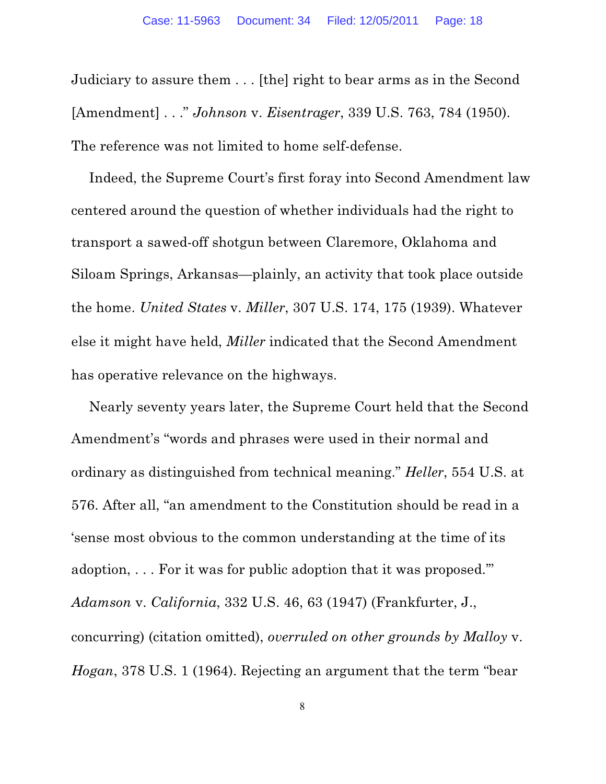Judiciary to assure them . . . [the] right to bear arms as in the Second [Amendment] . . ." *Johnson* v. *Eisentrager*, 339 U.S. 763, 784 (1950). The reference was not limited to home self-defense.

Indeed, the Supreme Court's first foray into Second Amendment law centered around the question of whether individuals had the right to transport a sawed-off shotgun between Claremore, Oklahoma and Siloam Springs, Arkansas—plainly, an activity that took place outside the home. *United States* v. *Miller*, 307 U.S. 174, 175 (1939). Whatever else it might have held, *Miller* indicated that the Second Amendment has operative relevance on the highways.

Nearly seventy years later, the Supreme Court held that the Second Amendment's "words and phrases were used in their normal and ordinary as distinguished from technical meaning." *Heller*, 554 U.S. at 576. After all, "an amendment to the Constitution should be read in a 'sense most obvious to the common understanding at the time of its adoption, . . . For it was for public adoption that it was proposed.'" *Adamson* v. *California*, 332 U.S. 46, 63 (1947) (Frankfurter, J., concurring) (citation omitted), *overruled on other grounds by Malloy* v. *Hogan*, 378 U.S. 1 (1964). Rejecting an argument that the term "bear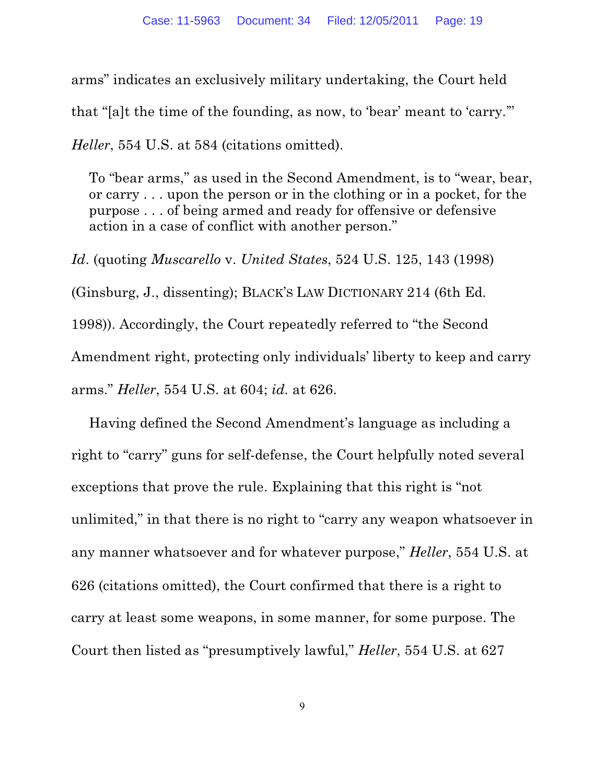arms" indicates an exclusively military undertaking, the Court held that "[a]t the time of the founding, as now, to 'bear' meant to 'carry.'"

*Heller*, 554 U.S. at 584 (citations omitted).

To "bear arms," as used in the Second Amendment, is to "wear, bear, or carry . . . upon the person or in the clothing or in a pocket, for the purpose . . . of being armed and ready for offensive or defensive action in a case of conflict with another person."

*Id*. (quoting *Muscarello* v. *United States*, 524 U.S. 125, 143 (1998) (Ginsburg, J., dissenting); BLACK'S LAW DICTIONARY 214 (6th Ed. 1998)). Accordingly, the Court repeatedly referred to "the Second Amendment right, protecting only individuals' liberty to keep and carry arms." *Heller*, 554 U.S. at 604; *id.* at 626.

Having defined the Second Amendment's language as including a right to "carry" guns for self-defense, the Court helpfully noted several exceptions that prove the rule. Explaining that this right is "not unlimited," in that there is no right to "carry any weapon whatsoever in any manner whatsoever and for whatever purpose," *Heller*, 554 U.S. at 626 (citations omitted), the Court confirmed that there is a right to carry at least some weapons, in some manner, for some purpose. The Court then listed as "presumptively lawful," *Heller*, 554 U.S. at 627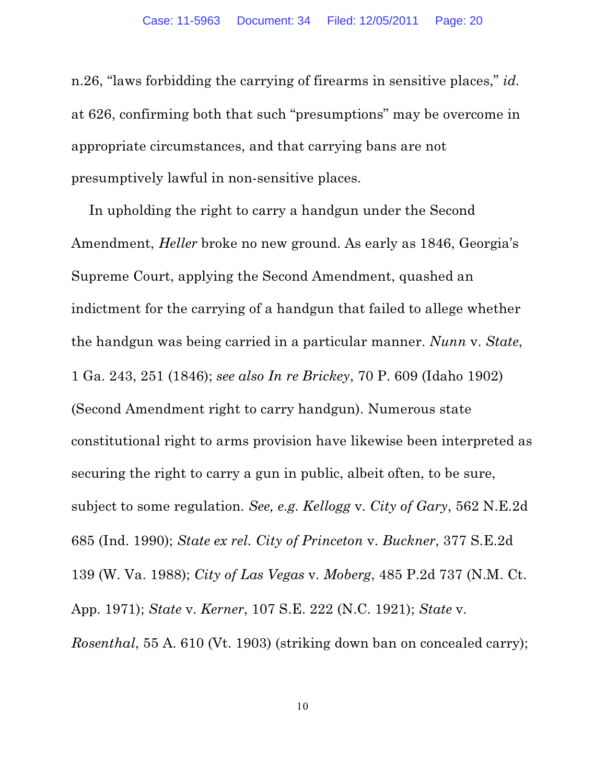n.26, "laws forbidding the carrying of firearms in sensitive places," *id.* at 626, confirming both that such "presumptions" may be overcome in appropriate circumstances, and that carrying bans are not presumptively lawful in non-sensitive places.

In upholding the right to carry a handgun under the Second Amendment, *Heller* broke no new ground. As early as 1846, Georgia's Supreme Court, applying the Second Amendment, quashed an indictment for the carrying of a handgun that failed to allege whether the handgun was being carried in a particular manner. *Nunn* v. *State*, 1 Ga. 243, 251 (1846); *see also In re Brickey*, 70 P. 609 (Idaho 1902) (Second Amendment right to carry handgun). Numerous state constitutional right to arms provision have likewise been interpreted as securing the right to carry a gun in public, albeit often, to be sure, subject to some regulation. *See, e.g. Kellogg* v. *City of Gary*, 562 N.E.2d 685 (Ind. 1990); *State ex rel. City of Princeton* v. *Buckner*, 377 S.E.2d 139 (W. Va. 1988); *City of Las Vegas* v. *Moberg*, 485 P.2d 737 (N.M. Ct. App. 1971); *State* v. *Kerner*, 107 S.E. 222 (N.C. 1921); *State* v. *Rosenthal*, 55 A. 610 (Vt. 1903) (striking down ban on concealed carry);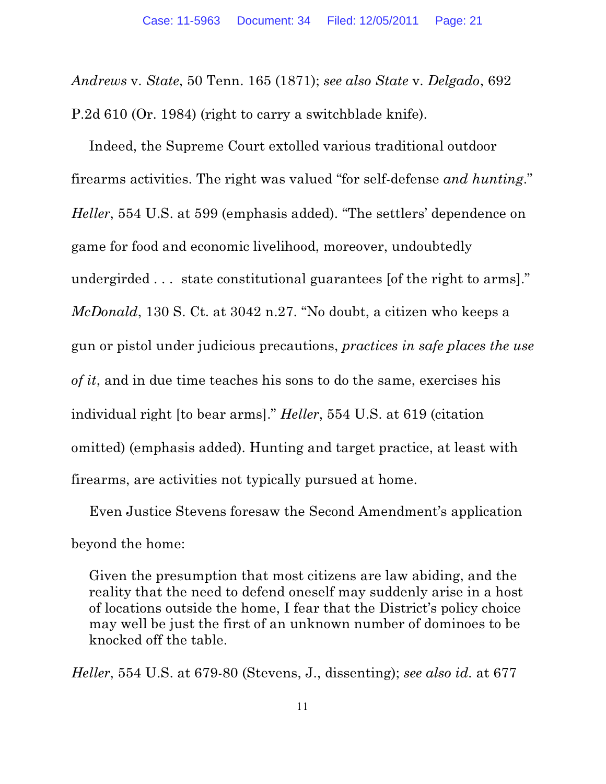*Andrews* v. *State*, 50 Tenn. 165 (1871); *see also State* v. *Delgado*, 692 P.2d 610 (Or. 1984) (right to carry a switchblade knife).

Indeed, the Supreme Court extolled various traditional outdoor firearms activities. The right was valued "for self-defense *and hunting*." *Heller*, 554 U.S. at 599 (emphasis added). "The settlers' dependence on game for food and economic livelihood, moreover, undoubtedly undergirded . . . state constitutional guarantees [of the right to arms]." *McDonald*, 130 S. Ct. at 3042 n.27. "No doubt, a citizen who keeps a gun or pistol under judicious precautions, *practices in safe places the use of it*, and in due time teaches his sons to do the same, exercises his individual right [to bear arms]." *Heller*, 554 U.S. at 619 (citation omitted) (emphasis added). Hunting and target practice, at least with firearms, are activities not typically pursued at home.

Even Justice Stevens foresaw the Second Amendment's application beyond the home:

Given the presumption that most citizens are law abiding, and the reality that the need to defend oneself may suddenly arise in a host of locations outside the home, I fear that the District's policy choice may well be just the first of an unknown number of dominoes to be knocked off the table.

*Heller*, 554 U.S. at 679-80 (Stevens, J., dissenting); *see also id.* at 677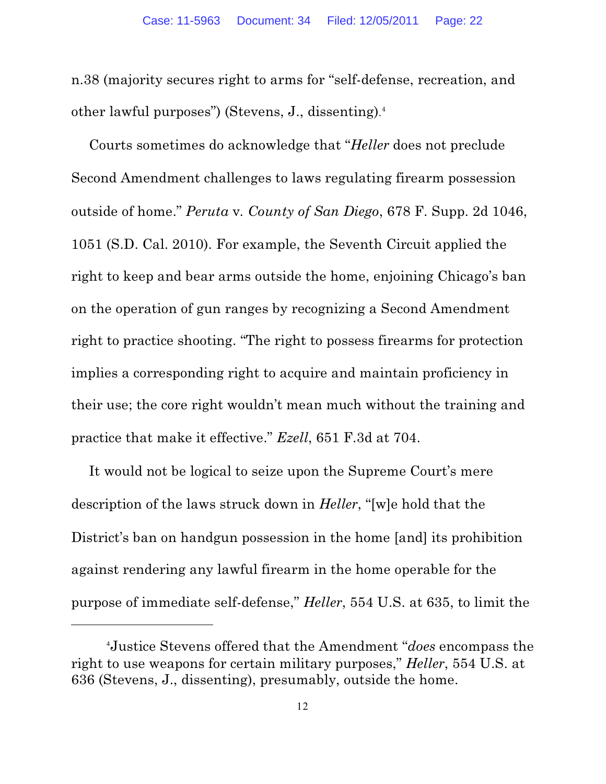n.38 (majority secures right to arms for "self-defense, recreation, and other lawful purposes") (Stevens, J., dissenting). 4

Courts sometimes do acknowledge that "*Heller* does not preclude Second Amendment challenges to laws regulating firearm possession outside of home." *Peruta* v*. County of San Diego*, 678 F. Supp. 2d 1046, 1051 (S.D. Cal. 2010). For example, the Seventh Circuit applied the right to keep and bear arms outside the home, enjoining Chicago's ban on the operation of gun ranges by recognizing a Second Amendment right to practice shooting. "The right to possess firearms for protection implies a corresponding right to acquire and maintain proficiency in their use; the core right wouldn't mean much without the training and practice that make it effective." *Ezell*, 651 F.3d at 704.

It would not be logical to seize upon the Supreme Court's mere description of the laws struck down in *Heller*, "[w]e hold that the District's ban on handgun possession in the home [and] its prohibition against rendering any lawful firearm in the home operable for the purpose of immediate self-defense," *Heller*, 554 U.S. at 635, to limit the

Justice Stevens offered that the Amendment "*does* encompass the <sup>4</sup> right to use weapons for certain military purposes," *Heller*, 554 U.S. at 636 (Stevens, J., dissenting), presumably, outside the home.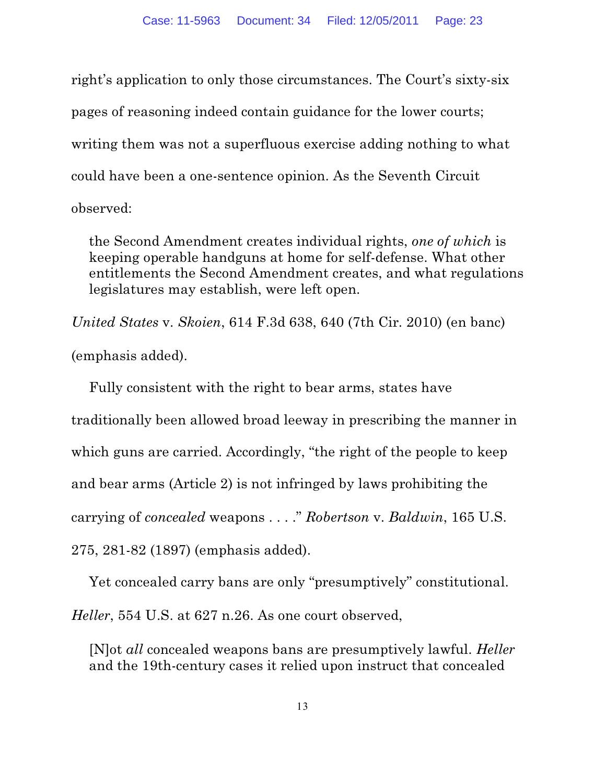right's application to only those circumstances. The Court's sixty-six pages of reasoning indeed contain guidance for the lower courts; writing them was not a superfluous exercise adding nothing to what could have been a one-sentence opinion. As the Seventh Circuit observed:

the Second Amendment creates individual rights, *one of which* is keeping operable handguns at home for self-defense. What other entitlements the Second Amendment creates, and what regulations legislatures may establish, were left open.

*United States* v. *Skoien*, 614 F.3d 638, 640 (7th Cir. 2010) (en banc) (emphasis added).

Fully consistent with the right to bear arms, states have traditionally been allowed broad leeway in prescribing the manner in which guns are carried. Accordingly, "the right of the people to keep and bear arms (Article 2) is not infringed by laws prohibiting the carrying of *concealed* weapons . . . ." *Robertson* v. *Baldwin*, 165 U.S. 275, 281-82 (1897) (emphasis added).

Yet concealed carry bans are only "presumptively" constitutional. *Heller*, 554 U.S. at 627 n.26. As one court observed,

[N]ot *all* concealed weapons bans are presumptively lawful. *Heller* and the 19th-century cases it relied upon instruct that concealed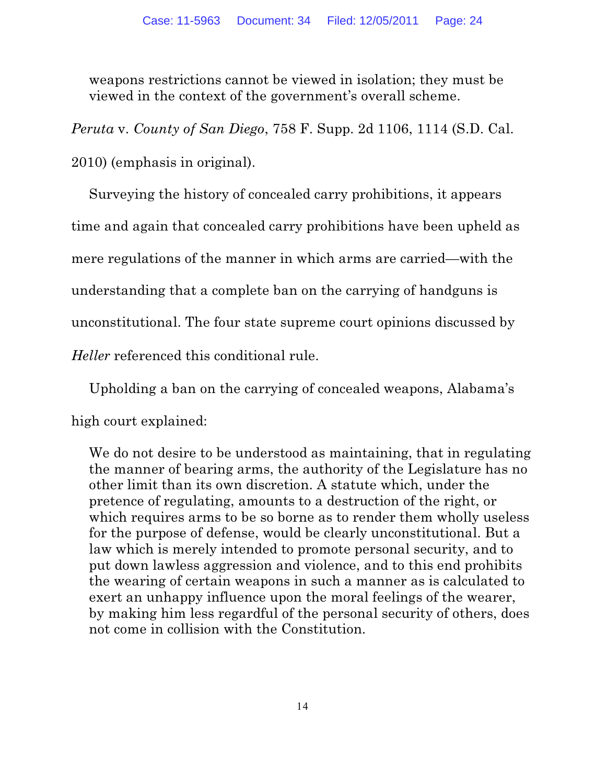weapons restrictions cannot be viewed in isolation; they must be viewed in the context of the government's overall scheme.

*Peruta* v. *County of San Diego*, 758 F. Supp. 2d 1106, 1114 (S.D. Cal.

2010) (emphasis in original).

Surveying the history of concealed carry prohibitions, it appears time and again that concealed carry prohibitions have been upheld as mere regulations of the manner in which arms are carried—with the understanding that a complete ban on the carrying of handguns is unconstitutional. The four state supreme court opinions discussed by *Heller* referenced this conditional rule.

Upholding a ban on the carrying of concealed weapons, Alabama's high court explained:

We do not desire to be understood as maintaining, that in regulating the manner of bearing arms, the authority of the Legislature has no other limit than its own discretion. A statute which, under the pretence of regulating, amounts to a destruction of the right, or which requires arms to be so borne as to render them wholly useless for the purpose of defense, would be clearly unconstitutional. But a law which is merely intended to promote personal security, and to put down lawless aggression and violence, and to this end prohibits the wearing of certain weapons in such a manner as is calculated to exert an unhappy influence upon the moral feelings of the wearer, by making him less regardful of the personal security of others, does not come in collision with the Constitution.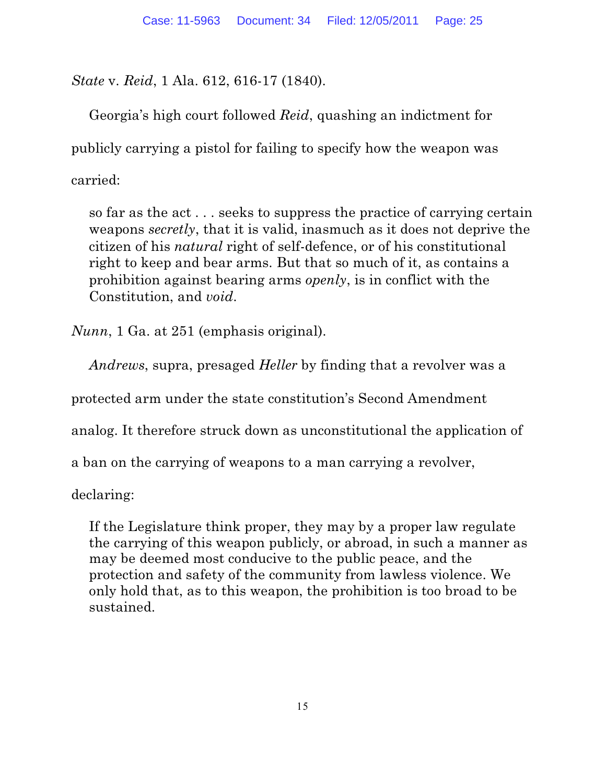*State* v. *Reid*, 1 Ala. 612, 616-17 (1840).

Georgia's high court followed *Reid*, quashing an indictment for publicly carrying a pistol for failing to specify how the weapon was carried:

so far as the act . . . seeks to suppress the practice of carrying certain weapons *secretly*, that it is valid, inasmuch as it does not deprive the citizen of his *natural* right of self-defence, or of his constitutional right to keep and bear arms. But that so much of it, as contains a prohibition against bearing arms *openly*, is in conflict with the Constitution, and *void*.

*Nunn*, 1 Ga. at 251 (emphasis original).

*Andrews*, supra, presaged *Heller* by finding that a revolver was a

protected arm under the state constitution's Second Amendment

analog. It therefore struck down as unconstitutional the application of

a ban on the carrying of weapons to a man carrying a revolver,

declaring:

If the Legislature think proper, they may by a proper law regulate the carrying of this weapon publicly, or abroad, in such a manner as may be deemed most conducive to the public peace, and the protection and safety of the community from lawless violence. We only hold that, as to this weapon, the prohibition is too broad to be sustained.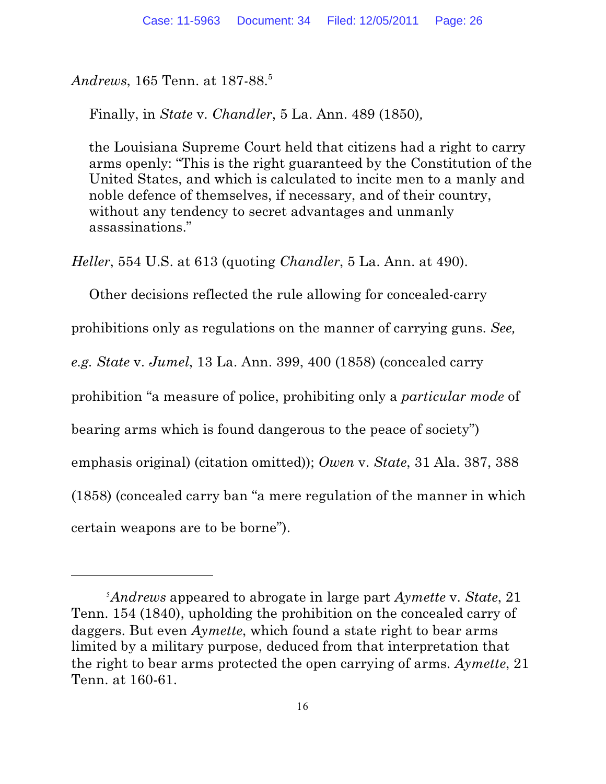*Andrews*, 165 Tenn. at 187-88. 5

Finally, in *State* v. *Chandler*, 5 La. Ann. 489 (1850)*,* 

the Louisiana Supreme Court held that citizens had a right to carry arms openly: "This is the right guaranteed by the Constitution of the United States, and which is calculated to incite men to a manly and noble defence of themselves, if necessary, and of their country, without any tendency to secret advantages and unmanly assassinations."

*Heller*, 554 U.S. at 613 (quoting *Chandler*, 5 La. Ann. at 490).

Other decisions reflected the rule allowing for concealed-carry

prohibitions only as regulations on the manner of carrying guns. *See,*

*e.g. State* v. *Jumel*, 13 La. Ann. 399, 400 (1858) (concealed carry

prohibition "a measure of police, prohibiting only a *particular mode* of

bearing arms which is found dangerous to the peace of society")

emphasis original) (citation omitted)); *Owen* v. *State*, 31 Ala. 387, 388

(1858) (concealed carry ban "a mere regulation of the manner in which

certain weapons are to be borne").

*Andrews* appeared to abrogate in large part *Aymette* v. *State*, 21 Tenn. 154 (1840), upholding the prohibition on the concealed carry of daggers. But even *Aymette*, which found a state right to bear arms limited by a military purpose, deduced from that interpretation that the right to bear arms protected the open carrying of arms. *Aymette*, 21 Tenn. at 160-61.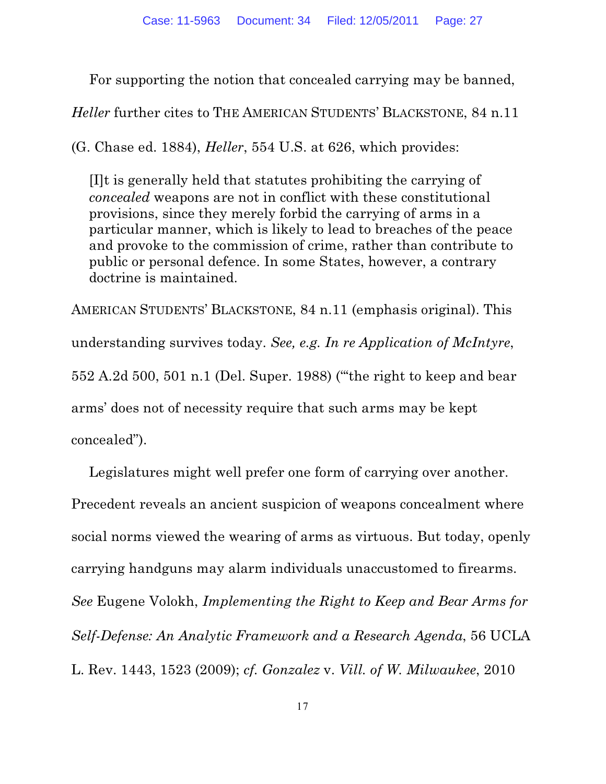For supporting the notion that concealed carrying may be banned,

*Heller* further cites to THE AMERICAN STUDENTS' BLACKSTONE, 84 n.11

(G. Chase ed. 1884), *Heller*, 554 U.S. at 626, which provides:

[I]t is generally held that statutes prohibiting the carrying of *concealed* weapons are not in conflict with these constitutional provisions, since they merely forbid the carrying of arms in a particular manner, which is likely to lead to breaches of the peace and provoke to the commission of crime, rather than contribute to public or personal defence. In some States, however, a contrary doctrine is maintained.

AMERICAN STUDENTS' BLACKSTONE, 84 n.11 (emphasis original). This understanding survives today. *See, e.g. In re Application of McIntyre*, 552 A.2d 500, 501 n.1 (Del. Super. 1988) ("'the right to keep and bear arms' does not of necessity require that such arms may be kept concealed").

Legislatures might well prefer one form of carrying over another. Precedent reveals an ancient suspicion of weapons concealment where social norms viewed the wearing of arms as virtuous. But today, openly carrying handguns may alarm individuals unaccustomed to firearms. *See* Eugene Volokh, *Implementing the Right to Keep and Bear Arms for Self-Defense: An Analytic Framework and a Research Agenda*, 56 UCLA L. Rev. 1443, 1523 (2009); *cf. Gonzalez* v. *Vill. of W. Milwaukee*, 2010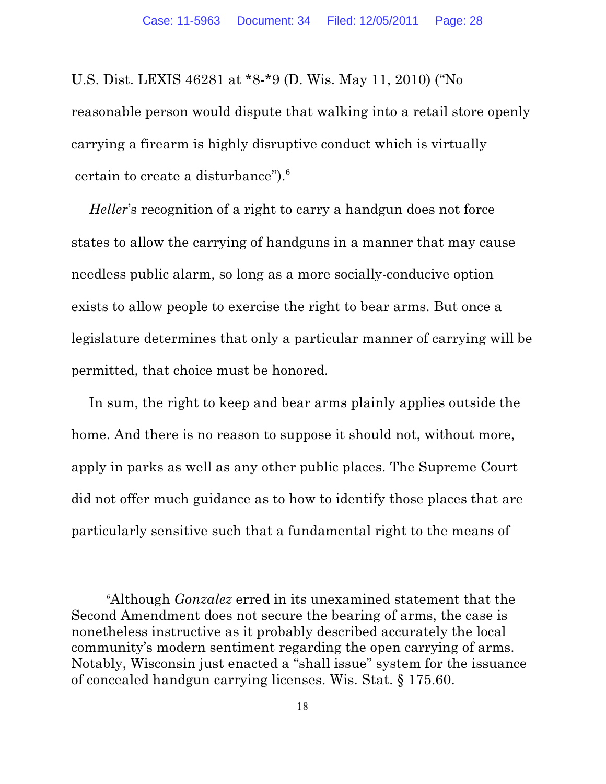U.S. Dist. LEXIS 46281 at \*8-\*9 (D. Wis. May 11, 2010) ("No reasonable person would dispute that walking into a retail store openly carrying a firearm is highly disruptive conduct which is virtually certain to create a disturbance").<sup>6</sup>

*Heller*'s recognition of a right to carry a handgun does not force states to allow the carrying of handguns in a manner that may cause needless public alarm, so long as a more socially-conducive option exists to allow people to exercise the right to bear arms. But once a legislature determines that only a particular manner of carrying will be permitted, that choice must be honored.

In sum, the right to keep and bear arms plainly applies outside the home. And there is no reason to suppose it should not, without more, apply in parks as well as any other public places. The Supreme Court did not offer much guidance as to how to identify those places that are particularly sensitive such that a fundamental right to the means of

Although *Gonzalez* erred in its unexamined statement that the <sup>6</sup> Second Amendment does not secure the bearing of arms, the case is nonetheless instructive as it probably described accurately the local community's modern sentiment regarding the open carrying of arms. Notably, Wisconsin just enacted a "shall issue" system for the issuance of concealed handgun carrying licenses. Wis. Stat. § 175.60.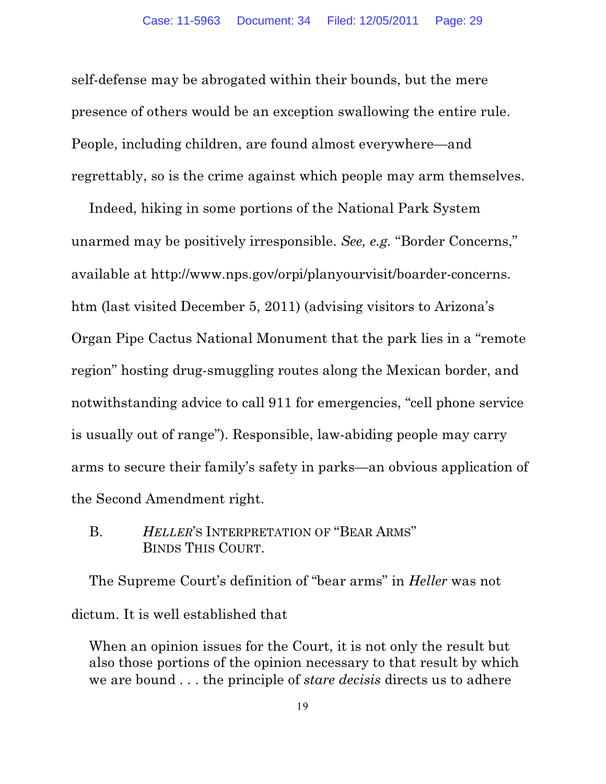self-defense may be abrogated within their bounds, but the mere presence of others would be an exception swallowing the entire rule. People, including children, are found almost everywhere—and regrettably, so is the crime against which people may arm themselves.

Indeed, hiking in some portions of the National Park System unarmed may be positively irresponsible. *See, e.g.* "Border Concerns," available at http://www.nps.gov/orpi/planyourvisit/boarder-concerns. htm (last visited December 5, 2011) (advising visitors to Arizona's Organ Pipe Cactus National Monument that the park lies in a "remote region" hosting drug-smuggling routes along the Mexican border, and notwithstanding advice to call 911 for emergencies, "cell phone service is usually out of range"). Responsible, law-abiding people may carry arms to secure their family's safety in parks—an obvious application of the Second Amendment right.

#### B. *HELLER*'S INTERPRETATION OF "BEAR ARMS" BINDS THIS COURT.

The Supreme Court's definition of "bear arms" in *Heller* was not dictum. It is well established that

When an opinion issues for the Court, it is not only the result but also those portions of the opinion necessary to that result by which we are bound . . . the principle of *stare decisis* directs us to adhere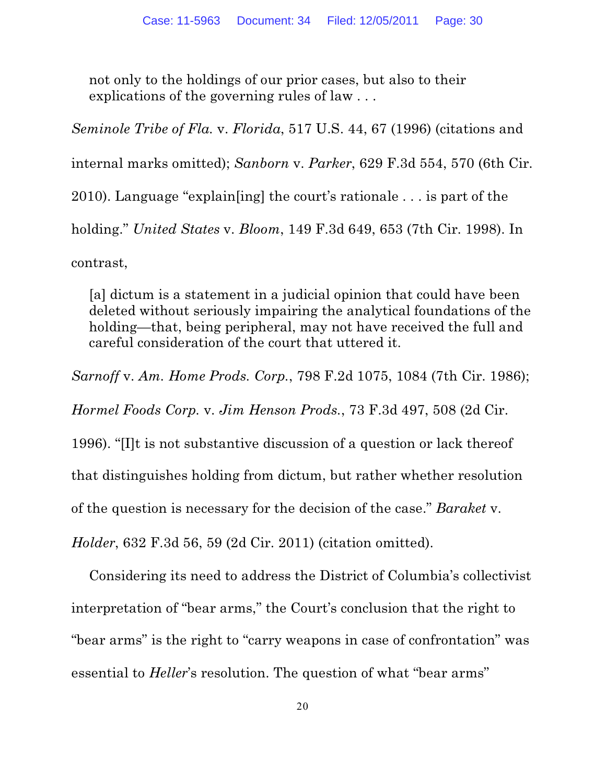not only to the holdings of our prior cases, but also to their explications of the governing rules of law . . .

*Seminole Tribe of Fla.* v. *Florida*, 517 U.S. 44, 67 (1996) (citations and internal marks omitted); *Sanborn* v. *Parker*, 629 F.3d 554, 570 (6th Cir. 2010). Language "explain[ing] the court's rationale . . . is part of the holding." *United States* v. *Bloom*, 149 F.3d 649, 653 (7th Cir. 1998). In contrast,

[a] dictum is a statement in a judicial opinion that could have been deleted without seriously impairing the analytical foundations of the holding—that, being peripheral, may not have received the full and careful consideration of the court that uttered it.

*Sarnoff* v. *Am. Home Prods. Corp.*, 798 F.2d 1075, 1084 (7th Cir. 1986);

*Hormel Foods Corp.* v. *Jim Henson Prods.*, 73 F.3d 497, 508 (2d Cir.

1996). "[I]t is not substantive discussion of a question or lack thereof

that distinguishes holding from dictum, but rather whether resolution

of the question is necessary for the decision of the case." *Baraket* v.

*Holder*, 632 F.3d 56, 59 (2d Cir. 2011) (citation omitted).

Considering its need to address the District of Columbia's collectivist interpretation of "bear arms," the Court's conclusion that the right to "bear arms" is the right to "carry weapons in case of confrontation" was essential to *Heller*'s resolution. The question of what "bear arms"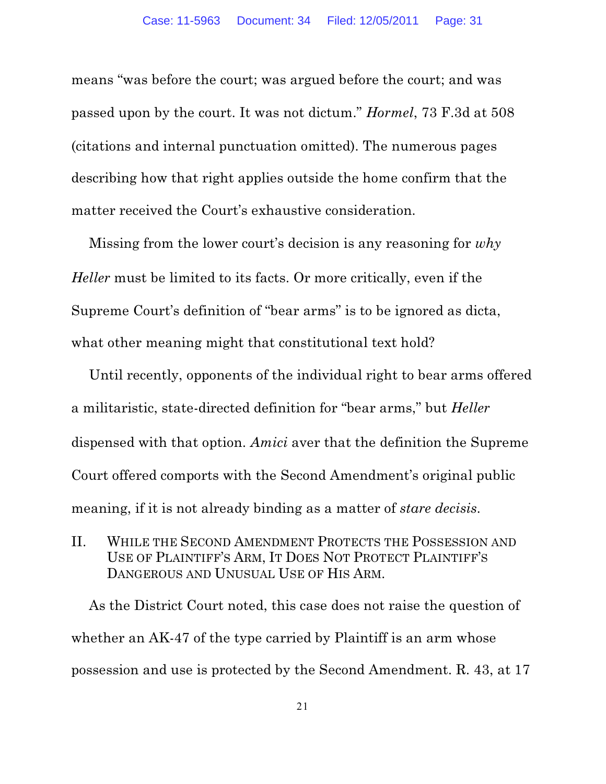means "was before the court; was argued before the court; and was passed upon by the court. It was not dictum." *Hormel*, 73 F.3d at 508 (citations and internal punctuation omitted). The numerous pages describing how that right applies outside the home confirm that the matter received the Court's exhaustive consideration.

Missing from the lower court's decision is any reasoning for *why Heller* must be limited to its facts. Or more critically, even if the Supreme Court's definition of "bear arms" is to be ignored as dicta, what other meaning might that constitutional text hold?

Until recently, opponents of the individual right to bear arms offered a militaristic, state-directed definition for "bear arms," but *Heller* dispensed with that option. *Amici* aver that the definition the Supreme Court offered comports with the Second Amendment's original public meaning, if it is not already binding as a matter of *stare decisis*.

II. WHILE THE SECOND AMENDMENT PROTECTS THE POSSESSION AND USE OF PLAINTIFF'S ARM, IT DOES NOT PROTECT PLAINTIFF'S DANGEROUS AND UNUSUAL USE OF HIS ARM.

As the District Court noted, this case does not raise the question of whether an AK-47 of the type carried by Plaintiff is an arm whose possession and use is protected by the Second Amendment. R. 43, at 17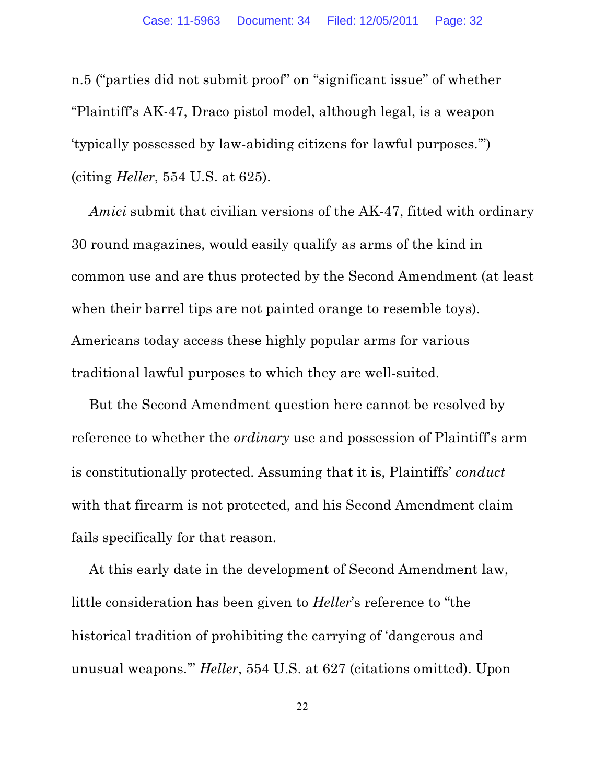n.5 ("parties did not submit proof" on "significant issue" of whether "Plaintiff's AK-47, Draco pistol model, although legal, is a weapon 'typically possessed by law-abiding citizens for lawful purposes.'") (citing *Heller*, 554 U.S. at 625).

*Amici* submit that civilian versions of the AK-47, fitted with ordinary 30 round magazines, would easily qualify as arms of the kind in common use and are thus protected by the Second Amendment (at least when their barrel tips are not painted orange to resemble toys). Americans today access these highly popular arms for various traditional lawful purposes to which they are well-suited.

But the Second Amendment question here cannot be resolved by reference to whether the *ordinary* use and possession of Plaintiff's arm is constitutionally protected. Assuming that it is, Plaintiffs' *conduct* with that firearm is not protected, and his Second Amendment claim fails specifically for that reason.

At this early date in the development of Second Amendment law, little consideration has been given to *Heller*'s reference to "the historical tradition of prohibiting the carrying of 'dangerous and unusual weapons.'" *Heller*, 554 U.S. at 627 (citations omitted). Upon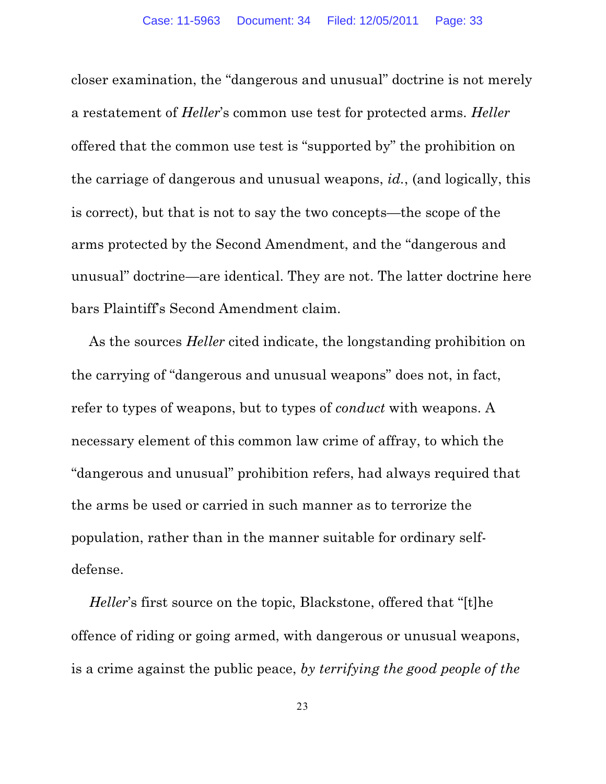closer examination, the "dangerous and unusual" doctrine is not merely a restatement of *Heller*'s common use test for protected arms. *Heller* offered that the common use test is "supported by" the prohibition on the carriage of dangerous and unusual weapons, *id.*, (and logically, this is correct), but that is not to say the two concepts—the scope of the arms protected by the Second Amendment, and the "dangerous and unusual" doctrine—are identical. They are not. The latter doctrine here bars Plaintiff's Second Amendment claim.

As the sources *Heller* cited indicate, the longstanding prohibition on the carrying of "dangerous and unusual weapons" does not, in fact, refer to types of weapons, but to types of *conduct* with weapons. A necessary element of this common law crime of affray, to which the "dangerous and unusual" prohibition refers, had always required that the arms be used or carried in such manner as to terrorize the population, rather than in the manner suitable for ordinary selfdefense.

*Heller*'s first source on the topic, Blackstone, offered that "[t]he offence of riding or going armed, with dangerous or unusual weapons, is a crime against the public peace, *by terrifying the good people of the*

23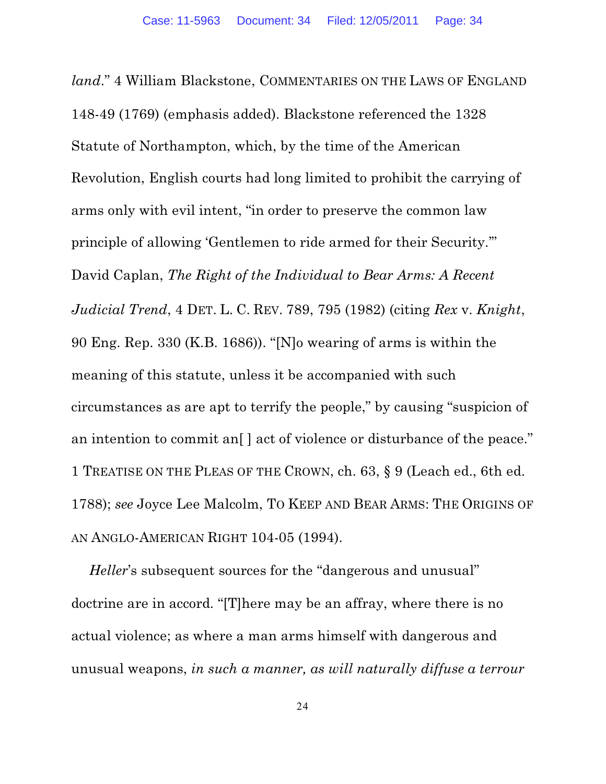*land*." 4 William Blackstone, COMMENTARIES ON THE LAWS OF ENGLAND 148-49 (1769) (emphasis added). Blackstone referenced the 1328 Statute of Northampton, which, by the time of the American Revolution, English courts had long limited to prohibit the carrying of arms only with evil intent, "in order to preserve the common law principle of allowing 'Gentlemen to ride armed for their Security.'" David Caplan, *The Right of the Individual to Bear Arms: A Recent Judicial Trend*, 4 DET. L. C. REV. 789, 795 (1982) (citing *Rex* v. *Knight*, 90 Eng. Rep. 330 (K.B. 1686)). "[N]o wearing of arms is within the meaning of this statute, unless it be accompanied with such circumstances as are apt to terrify the people," by causing "suspicion of an intention to commit an<sup>[]</sup> act of violence or disturbance of the peace." 1 TREATISE ON THE PLEAS OF THE CROWN, ch. 63, § 9 (Leach ed., 6th ed. 1788); *see* Joyce Lee Malcolm, TO KEEP AND BEAR ARMS: THE ORIGINS OF AN ANGLO-AMERICAN RIGHT 104-05 (1994).

*Heller*'s subsequent sources for the "dangerous and unusual" doctrine are in accord. "[T]here may be an affray, where there is no actual violence; as where a man arms himself with dangerous and unusual weapons, *in such a manner, as will naturally diffuse a terrour*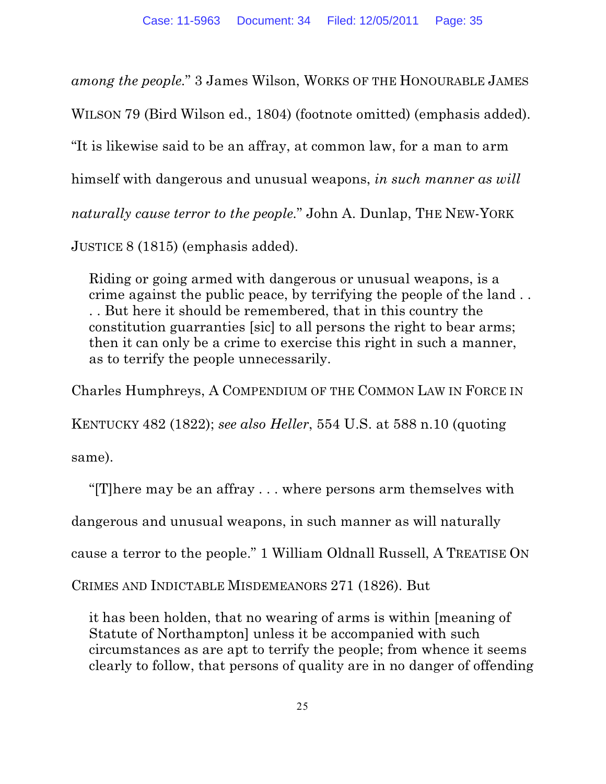*among the people.*" 3 James Wilson, WORKS OF THE HONOURABLE JAMES

WILSON 79 (Bird Wilson ed., 1804) (footnote omitted) (emphasis added).

"It is likewise said to be an affray, at common law, for a man to arm

himself with dangerous and unusual weapons, *in such manner as will*

*naturally cause terror to the people.*" John A. Dunlap, THE NEW-YORK

JUSTICE 8 (1815) (emphasis added).

Riding or going armed with dangerous or unusual weapons, is a crime against the public peace, by terrifying the people of the land . . . . But here it should be remembered, that in this country the constitution guarranties [sic] to all persons the right to bear arms; then it can only be a crime to exercise this right in such a manner, as to terrify the people unnecessarily.

Charles Humphreys, A COMPENDIUM OF THE COMMON LAW IN FORCE IN

KENTUCKY 482 (1822); *see also Heller*, 554 U.S. at 588 n.10 (quoting

same).

"[T]here may be an affray . . . where persons arm themselves with

dangerous and unusual weapons, in such manner as will naturally

cause a terror to the people." 1 William Oldnall Russell, A TREATISE ON

CRIMES AND INDICTABLE MISDEMEANORS 271 (1826). But

it has been holden, that no wearing of arms is within [meaning of Statute of Northampton] unless it be accompanied with such circumstances as are apt to terrify the people; from whence it seems clearly to follow, that persons of quality are in no danger of offending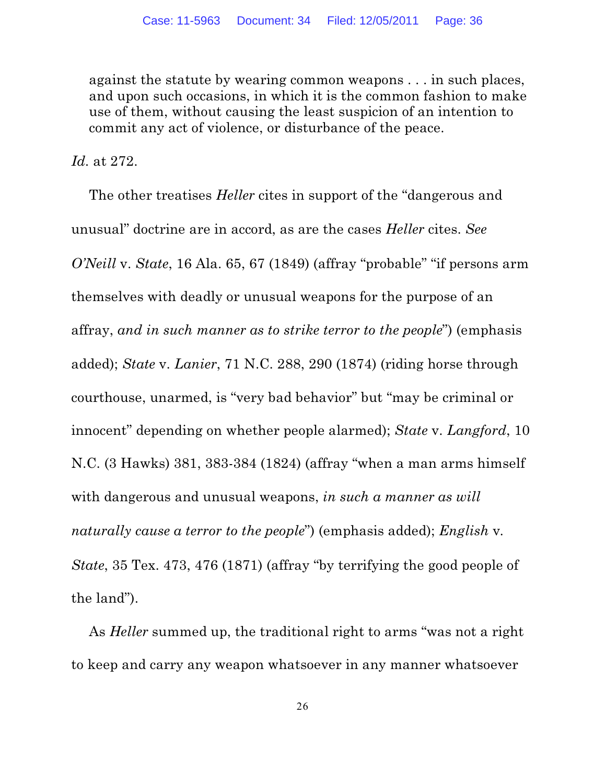against the statute by wearing common weapons . . . in such places, and upon such occasions, in which it is the common fashion to make use of them, without causing the least suspicion of an intention to commit any act of violence, or disturbance of the peace.

*Id.* at 272.

The other treatises *Heller* cites in support of the "dangerous and unusual" doctrine are in accord, as are the cases *Heller* cites. *See O'Neill* v. *State*, 16 Ala. 65, 67 (1849) (affray "probable" "if persons arm themselves with deadly or unusual weapons for the purpose of an affray, *and in such manner as to strike terror to the people*") (emphasis added); *State* v. *Lanier*, 71 N.C. 288, 290 (1874) (riding horse through courthouse, unarmed, is "very bad behavior" but "may be criminal or innocent" depending on whether people alarmed); *State* v. *Langford*, 10 N.C. (3 Hawks) 381, 383-384 (1824) (affray "when a man arms himself with dangerous and unusual weapons, *in such a manner as will naturally cause a terror to the people*") (emphasis added); *English* v*. State*, 35 Tex. 473, 476 (1871) (affray "by terrifying the good people of the land").

As *Heller* summed up, the traditional right to arms "was not a right to keep and carry any weapon whatsoever in any manner whatsoever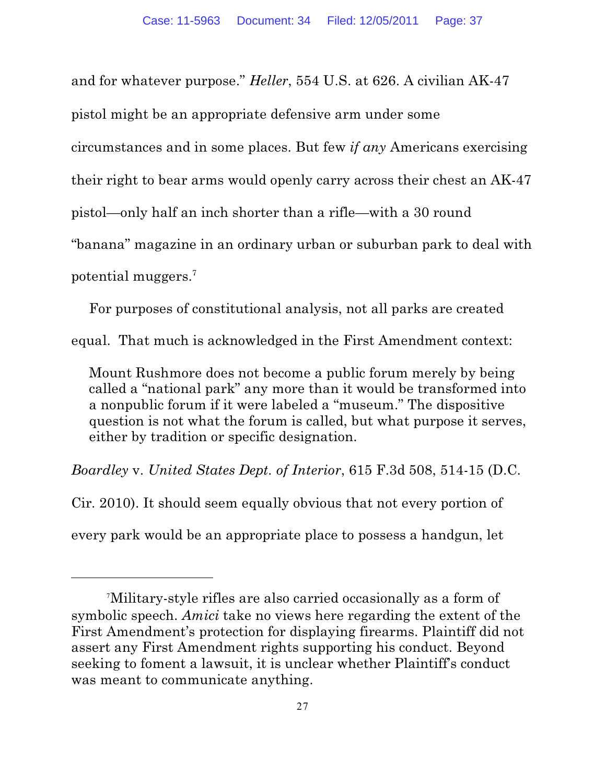and for whatever purpose." *Heller*, 554 U.S. at 626. A civilian AK-47 pistol might be an appropriate defensive arm under some circumstances and in some places. But few *if any* Americans exercising their right to bear arms would openly carry across their chest an AK-47 pistol—only half an inch shorter than a rifle—with a 30 round "banana" magazine in an ordinary urban or suburban park to deal with potential muggers.7

For purposes of constitutional analysis, not all parks are created

equal. That much is acknowledged in the First Amendment context:

Mount Rushmore does not become a public forum merely by being called a "national park" any more than it would be transformed into a nonpublic forum if it were labeled a "museum." The dispositive question is not what the forum is called, but what purpose it serves, either by tradition or specific designation.

*Boardley* v. *United States Dept. of Interior*, 615 F.3d 508, 514-15 (D.C.

Cir. 2010). It should seem equally obvious that not every portion of every park would be an appropriate place to possess a handgun, let

Military-style rifles are also carried occasionally as a form of <sup>7</sup> symbolic speech. *Amici* take no views here regarding the extent of the First Amendment's protection for displaying firearms. Plaintiff did not assert any First Amendment rights supporting his conduct. Beyond seeking to foment a lawsuit, it is unclear whether Plaintiff's conduct was meant to communicate anything.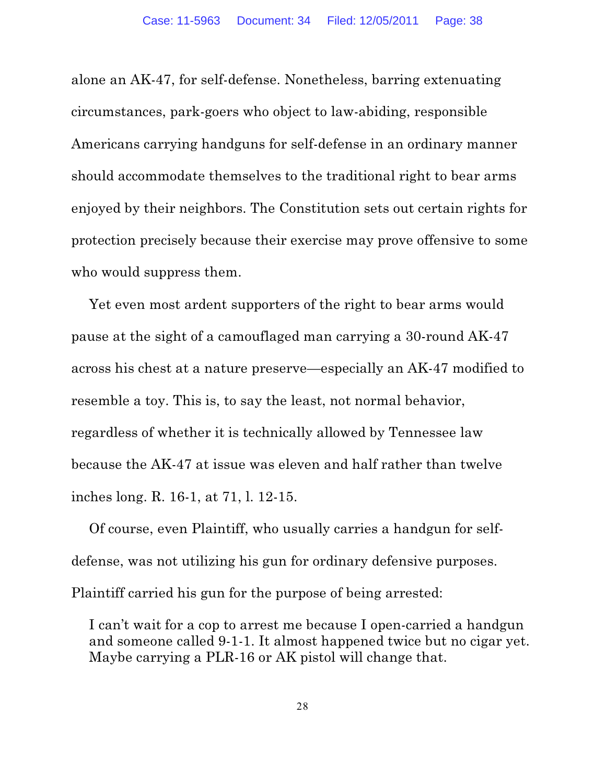alone an AK-47, for self-defense. Nonetheless, barring extenuating circumstances, park-goers who object to law-abiding, responsible Americans carrying handguns for self-defense in an ordinary manner should accommodate themselves to the traditional right to bear arms enjoyed by their neighbors. The Constitution sets out certain rights for protection precisely because their exercise may prove offensive to some who would suppress them.

Yet even most ardent supporters of the right to bear arms would pause at the sight of a camouflaged man carrying a 30-round AK-47 across his chest at a nature preserve—especially an AK-47 modified to resemble a toy. This is, to say the least, not normal behavior, regardless of whether it is technically allowed by Tennessee law because the AK-47 at issue was eleven and half rather than twelve inches long. R. 16-1, at 71, l. 12-15.

Of course, even Plaintiff, who usually carries a handgun for selfdefense, was not utilizing his gun for ordinary defensive purposes. Plaintiff carried his gun for the purpose of being arrested:

I can't wait for a cop to arrest me because I open-carried a handgun and someone called 9-1-1. It almost happened twice but no cigar yet. Maybe carrying a PLR-16 or AK pistol will change that.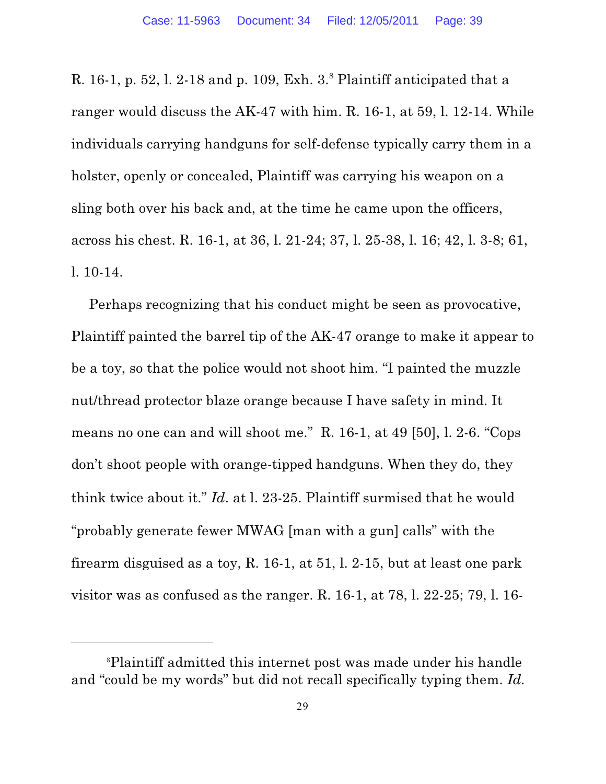R. 16-1, p. 52, l. 2-18 and p. 109, Exh.  $3.8$  Plaintiff anticipated that a ranger would discuss the AK-47 with him. R. 16-1, at 59, l. 12-14. While individuals carrying handguns for self-defense typically carry them in a holster, openly or concealed, Plaintiff was carrying his weapon on a sling both over his back and, at the time he came upon the officers, across his chest. R. 16-1, at 36, l. 21-24; 37, l. 25-38, l. 16; 42, l. 3-8; 61, l. 10-14.

Perhaps recognizing that his conduct might be seen as provocative, Plaintiff painted the barrel tip of the AK-47 orange to make it appear to be a toy, so that the police would not shoot him. "I painted the muzzle nut/thread protector blaze orange because I have safety in mind. It means no one can and will shoot me." R. 16-1, at 49 [50], l. 2-6. "Cops don't shoot people with orange-tipped handguns. When they do, they think twice about it." *Id*. at l. 23-25. Plaintiff surmised that he would "probably generate fewer MWAG [man with a gun] calls" with the firearm disguised as a toy, R. 16-1, at 51, l. 2-15, but at least one park visitor was as confused as the ranger. R. 16-1, at 78, l. 22-25; 79, l. 16-

<sup>&</sup>lt;sup>8</sup>Plaintiff admitted this internet post was made under his handle and "could be my words" but did not recall specifically typing them. *Id.*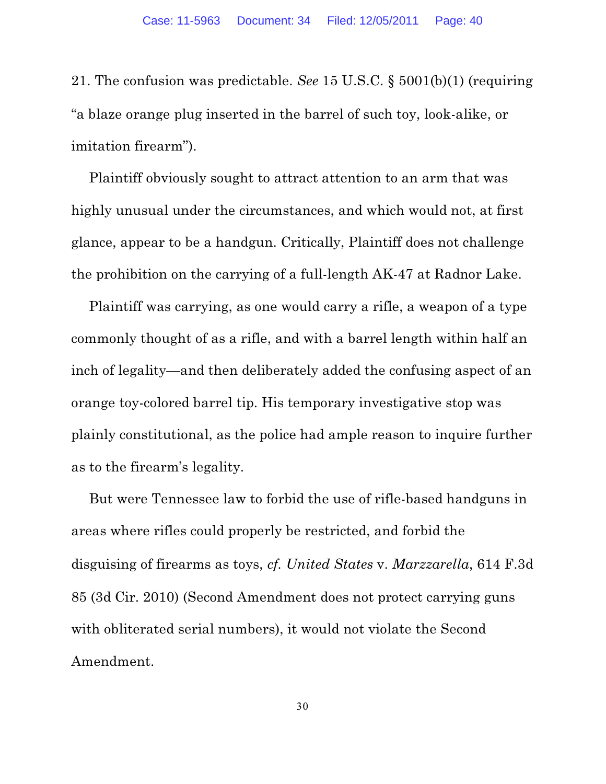21. The confusion was predictable. *See* 15 U.S.C. § 5001(b)(1) (requiring "a blaze orange plug inserted in the barrel of such toy, look-alike, or imitation firearm").

Plaintiff obviously sought to attract attention to an arm that was highly unusual under the circumstances, and which would not, at first glance, appear to be a handgun. Critically, Plaintiff does not challenge the prohibition on the carrying of a full-length AK-47 at Radnor Lake.

Plaintiff was carrying, as one would carry a rifle, a weapon of a type commonly thought of as a rifle, and with a barrel length within half an inch of legality—and then deliberately added the confusing aspect of an orange toy-colored barrel tip. His temporary investigative stop was plainly constitutional, as the police had ample reason to inquire further as to the firearm's legality.

But were Tennessee law to forbid the use of rifle-based handguns in areas where rifles could properly be restricted, and forbid the disguising of firearms as toys, *cf. United States* v. *Marzzarella*, 614 F.3d 85 (3d Cir. 2010) (Second Amendment does not protect carrying guns with obliterated serial numbers), it would not violate the Second Amendment.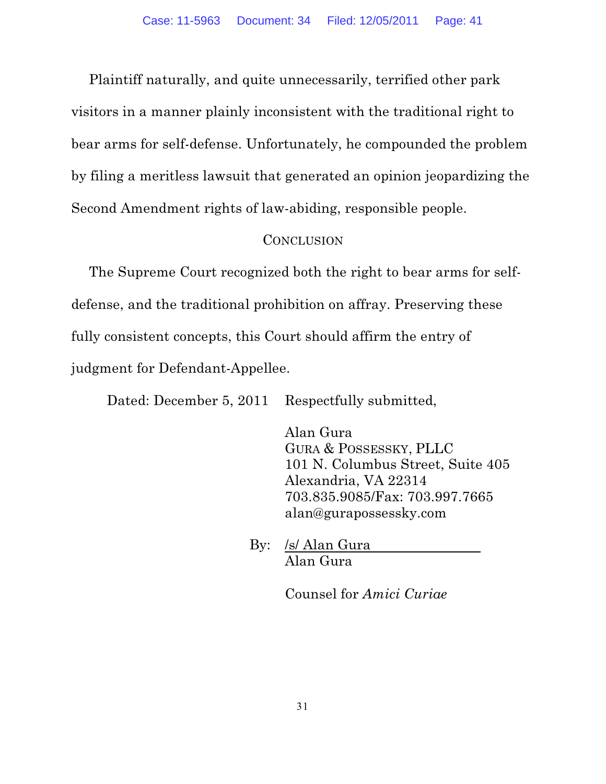Plaintiff naturally, and quite unnecessarily, terrified other park visitors in a manner plainly inconsistent with the traditional right to bear arms for self-defense. Unfortunately, he compounded the problem by filing a meritless lawsuit that generated an opinion jeopardizing the Second Amendment rights of law-abiding, responsible people.

### **CONCLUSION**

The Supreme Court recognized both the right to bear arms for selfdefense, and the traditional prohibition on affray. Preserving these fully consistent concepts, this Court should affirm the entry of judgment for Defendant-Appellee.

Dated: December 5, 2011 Respectfully submitted,

Alan Gura GURA & POSSESSKY, PLLC 101 N. Columbus Street, Suite 405 Alexandria, VA 22314 703.835.9085/Fax: 703.997.7665 alan@gurapossessky.com

By: /s/ Alan Gura Alan Gura

Counsel for *Amici Curiae*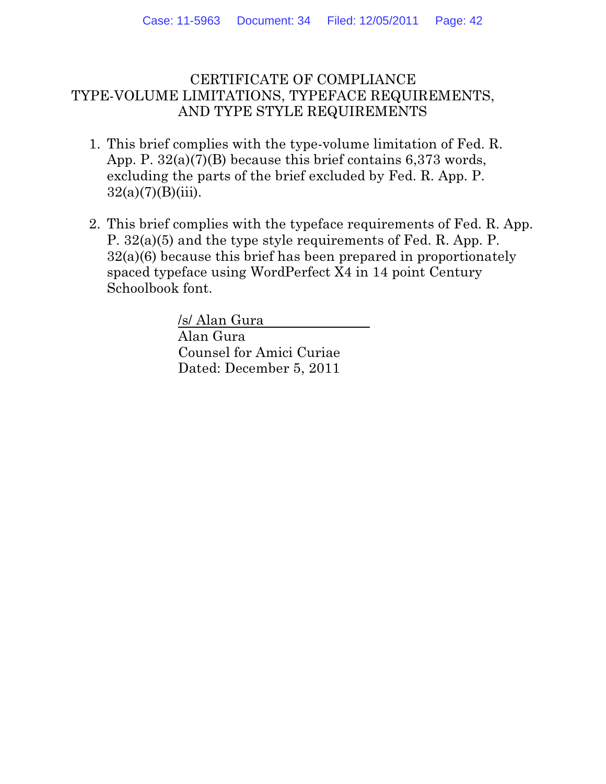### CERTIFICATE OF COMPLIANCE TYPE-VOLUME LIMITATIONS, TYPEFACE REQUIREMENTS, AND TYPE STYLE REQUIREMENTS

- 1. This brief complies with the type-volume limitation of Fed. R. App. P. 32(a)(7)(B) because this brief contains 6,373 words, excluding the parts of the brief excluded by Fed. R. App. P.  $32(a)(7)(B)(iii)$ .
- 2. This brief complies with the typeface requirements of Fed. R. App. P. 32(a)(5) and the type style requirements of Fed. R. App. P. 32(a)(6) because this brief has been prepared in proportionately spaced typeface using WordPerfect X4 in 14 point Century Schoolbook font.

/s/ Alan Gura Alan Gura Counsel for Amici Curiae Dated: December 5, 2011